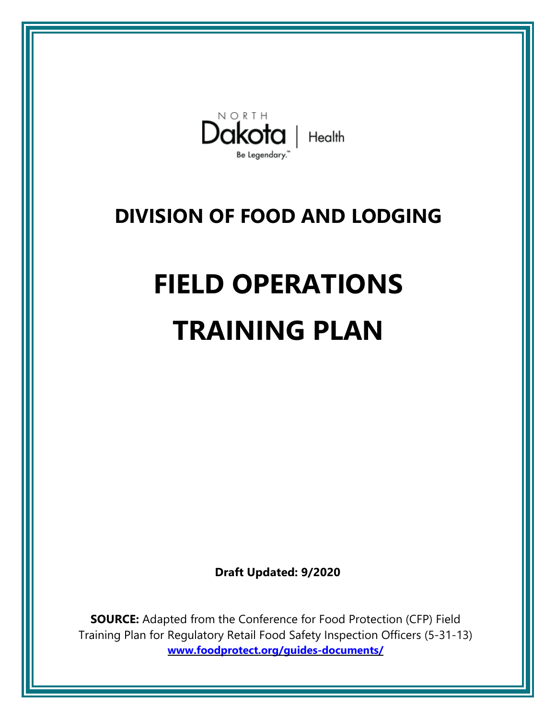

## **DIVISION OF FOOD AND LODGING**

# **FIELD OPERATIONS TRAINING PLAN**

**Draft Updated: 9/2020**

**SOURCE:** Adapted from the Conference for Food Protection (CFP) Field Training Plan for Regulatory Retail Food Safety Inspection Officers (5-31-13) **www.foodprotect.org/guides-documents/**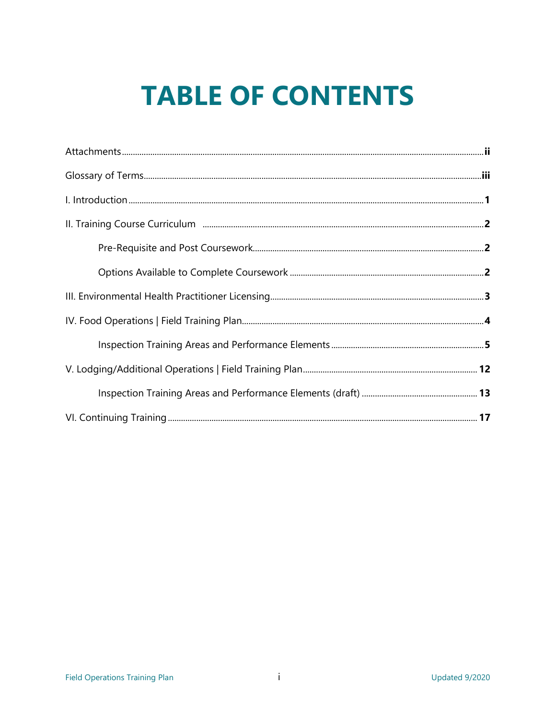## **TABLE OF CONTENTS**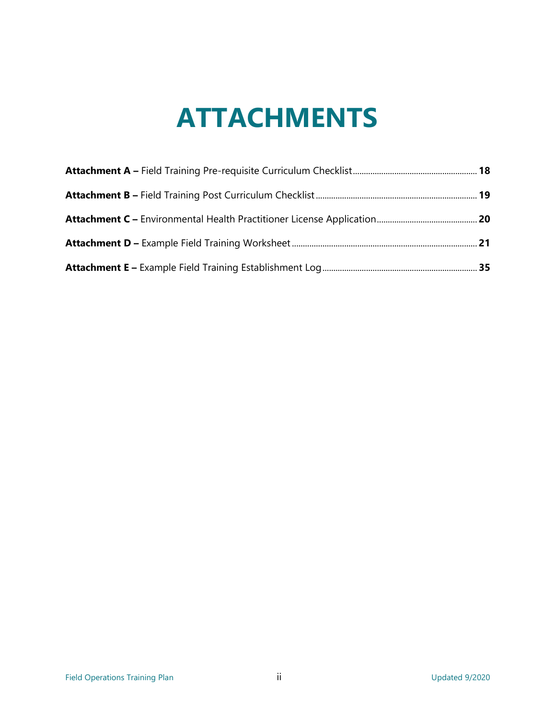## **ATTACHMENTS**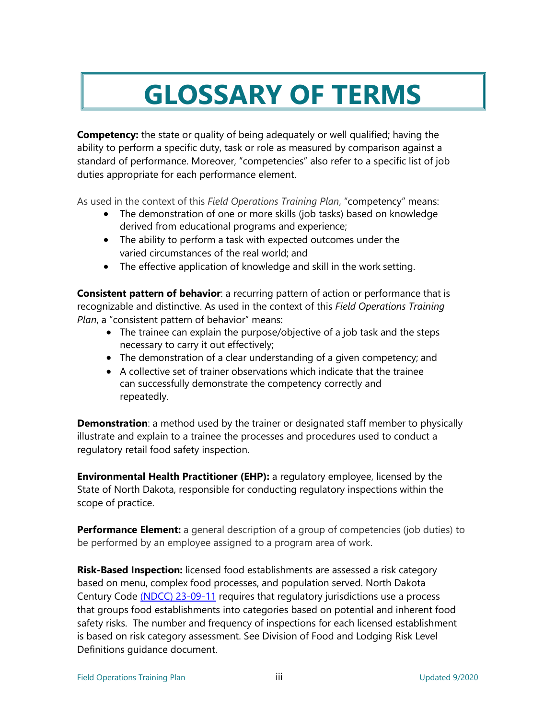## **GLOSSARY OF TERMS**

**Competency:** the state or quality of being adequately or well qualified; having the ability to perform a specific duty, task or role as measured by comparison against a standard of performance. Moreover, "competencies" also refer to a specific list of job duties appropriate for each performance element.

As used in the context of this *Field Operations Training Plan*, "competency" means:

- The demonstration of one or more skills (job tasks) based on knowledge derived from educational programs and experience;
- The ability to perform a task with expected outcomes under the varied circumstances of the real world; and
- The effective application of knowledge and skill in the work setting.

**Consistent pattern of behavior**: a recurring pattern of action or performance that is recognizable and distinctive. As used in the context of this *Field Operations Training Plan*, a "consistent pattern of behavior" means:

- The trainee can explain the purpose/objective of a job task and the steps necessary to carry it out effectively;
- The demonstration of a clear understanding of a given competency; and
- A collective set of trainer observations which indicate that the trainee can successfully demonstrate the competency correctly and repeatedly.

**Demonstration**: a method used by the trainer or designated staff member to physically illustrate and explain to a trainee the processes and procedures used to conduct a regulatory retail food safety inspection.

**Environmental Health Practitioner (EHP):** a regulatory employee, licensed by the State of North Dakota, responsible for conducting regulatory inspections within the scope of practice.

**Performance Element:** a general description of a group of competencies (job duties) to be performed by an employee assigned to a program area of work.

**Risk-Based Inspection:** licensed food establishments are assessed a risk category based on menu, complex food processes, and population served. North Dakota Century Code [\(NDCC\) 23-09-11](https://www.legis.nd.gov/cencode/t23c09.pdf) requires that regulatory jurisdictions use a process that groups food establishments into categories based on potential and inherent food safety risks. The number and frequency of inspections for each licensed establishment is based on risk category assessment. See Division of Food and Lodging Risk Level Definitions guidance document.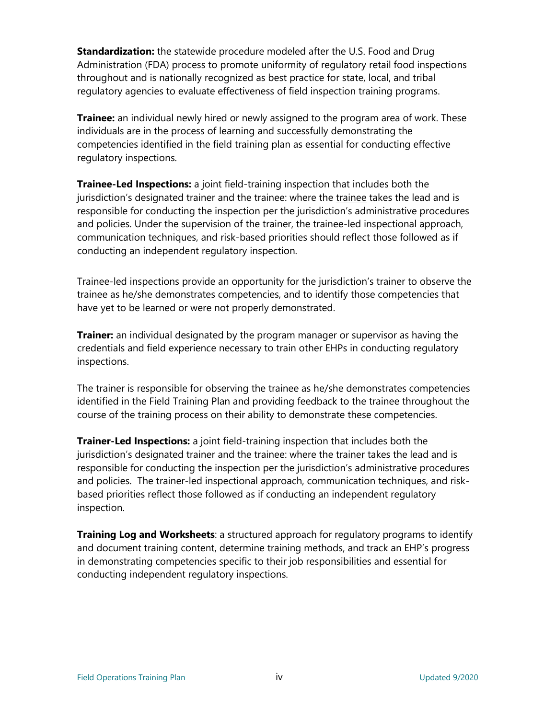**Standardization:** the statewide procedure modeled after the U.S. Food and Drug Administration (FDA) process to promote uniformity of regulatory retail food inspections throughout and is nationally recognized as best practice for state, local, and tribal regulatory agencies to evaluate effectiveness of field inspection training programs.

**Trainee:** an individual newly hired or newly assigned to the program area of work. These individuals are in the process of learning and successfully demonstrating the competencies identified in the field training plan as essential for conducting effective regulatory inspections.

**Trainee-Led Inspections:** a joint field-training inspection that includes both the jurisdiction's designated trainer and the trainee: where the trainee takes the lead and is responsible for conducting the inspection per the jurisdiction's administrative procedures and policies. Under the supervision of the trainer, the trainee-led inspectional approach, communication techniques, and risk-based priorities should reflect those followed as if conducting an independent regulatory inspection.

Trainee-led inspections provide an opportunity for the jurisdiction's trainer to observe the trainee as he/she demonstrates competencies, and to identify those competencies that have yet to be learned or were not properly demonstrated.

**Trainer:** an individual designated by the program manager or supervisor as having the credentials and field experience necessary to train other EHPs in conducting regulatory inspections.

The trainer is responsible for observing the trainee as he/she demonstrates competencies identified in the Field Training Plan and providing feedback to the trainee throughout the course of the training process on their ability to demonstrate these competencies.

**Trainer-Led Inspections:** a joint field-training inspection that includes both the jurisdiction's designated trainer and the trainee: where the trainer takes the lead and is responsible for conducting the inspection per the jurisdiction's administrative procedures and policies. The trainer-led inspectional approach, communication techniques, and riskbased priorities reflect those followed as if conducting an independent regulatory inspection.

**Training Log and Worksheets**: a structured approach for regulatory programs to identify and document training content, determine training methods, and track an EHP's progress in demonstrating competencies specific to their job responsibilities and essential for conducting independent regulatory inspections.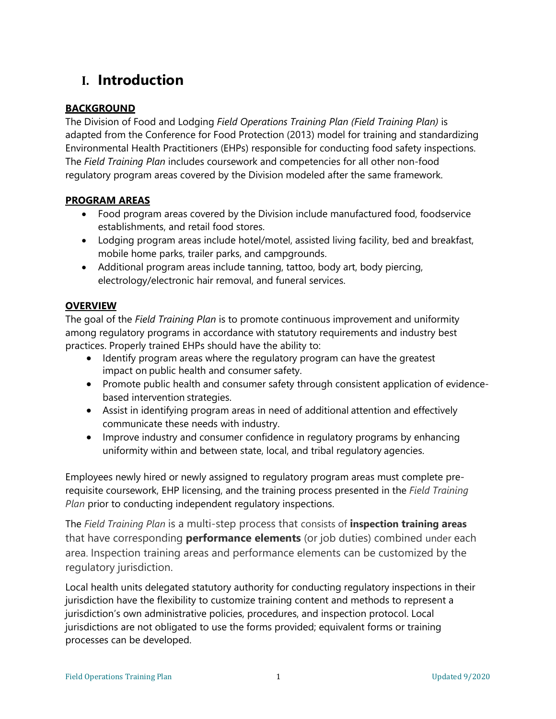## **I. Introduction**

#### **BACKGROUND**

The Division of Food and Lodging *Field Operations Training Plan (Field Training Plan)* is adapted from the Conference for Food Protection (2013) model for training and standardizing Environmental Health Practitioners (EHPs) responsible for conducting food safety inspections. The *Field Training Plan* includes coursework and competencies for all other non-food regulatory program areas covered by the Division modeled after the same framework.

#### **PROGRAM AREAS**

- Food program areas covered by the Division include manufactured food, foodservice establishments, and retail food stores.
- Lodging program areas include hotel/motel, assisted living facility, bed and breakfast, mobile home parks, trailer parks, and campgrounds.
- Additional program areas include tanning, tattoo, body art, body piercing, electrology/electronic hair removal, and funeral services.

#### **OVERVIEW**

The goal of the *Field Training Plan* is to promote continuous improvement and uniformity among regulatory programs in accordance with statutory requirements and industry best practices. Properly trained EHPs should have the ability to:

- Identify program areas where the regulatory program can have the greatest impact on public health and consumer safety.
- Promote public health and consumer safety through consistent application of evidencebased intervention strategies.
- Assist in identifying program areas in need of additional attention and effectively communicate these needs with industry.
- Improve industry and consumer confidence in regulatory programs by enhancing uniformity within and between state, local, and tribal regulatory agencies.

Employees newly hired or newly assigned to regulatory program areas must complete prerequisite coursework, EHP licensing, and the training process presented in the *Field Training Plan* prior to conducting independent regulatory inspections.

The *Field Training Plan* is a multi-step process that consists of **inspection training areas** that have corresponding **performance elements** (or job duties) combined under each area. Inspection training areas and performance elements can be customized by the regulatory jurisdiction.

Local health units delegated statutory authority for conducting regulatory inspections in their jurisdiction have the flexibility to customize training content and methods to represent a jurisdiction's own administrative policies, procedures, and inspection protocol. Local jurisdictions are not obligated to use the forms provided; equivalent forms or training processes can be developed.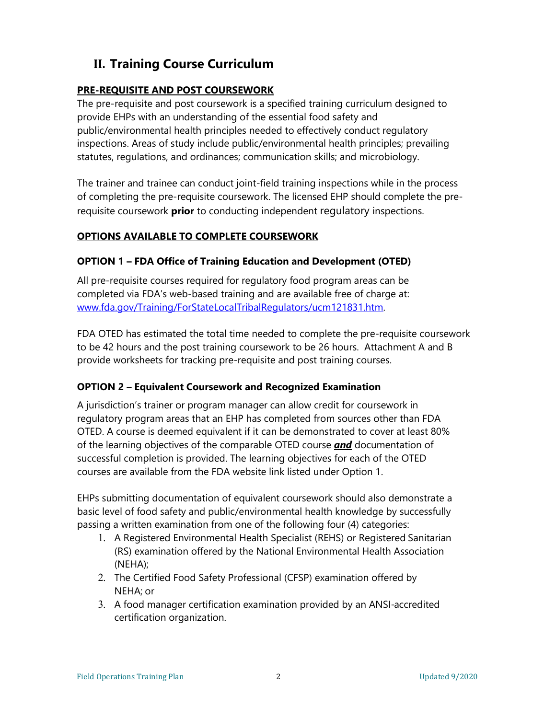## **II. Training Course Curriculum**

#### **PRE-REQUISITE AND POST COURSEWORK**

The pre-requisite and post coursework is a specified training curriculum designed to provide EHPs with an understanding of the essential food safety and public/environmental health principles needed to effectively conduct regulatory inspections. Areas of study include public/environmental health principles; prevailing statutes, regulations, and ordinances; communication skills; and microbiology.

The trainer and trainee can conduct joint-field training inspections while in the process of completing the pre-requisite coursework. The licensed EHP should complete the prerequisite coursework **prior** to conducting independent regulatory inspections.

#### **OPTIONS AVAILABLE TO COMPLETE COURSEWORK**

#### **OPTION 1 – FDA Office of Training Education and Development (OTED)**

All pre-requisite courses required for regulatory food program areas can be completed via FDA's web-based training and are available free of charge at: [www.fda.gov/Training/ForStateLocalTribalRegulators/ucm121831.htm.](http://www.fda.gov/Training/ForStateLocalTribalRegulators/ucm121831.htm)

FDA OTED has estimated the total time needed to complete the pre-requisite coursework to be 42 hours and the post training coursework to be 26 hours. Attachment A and B provide worksheets for tracking pre-requisite and post training courses.

#### **OPTION 2 – Equivalent Coursework and Recognized Examination**

A jurisdiction's trainer or program manager can allow credit for coursework in regulatory program areas that an EHP has completed from sources other than FDA OTED. A course is deemed equivalent if it can be demonstrated to cover at least 80% of the learning objectives of the comparable OTED course *and* documentation of successful completion is provided. The learning objectives for each of the OTED courses are available from the FDA website link listed under Option 1.

EHPs submitting documentation of equivalent coursework should also demonstrate a basic level of food safety and public/environmental health knowledge by successfully passing a written examination from one of the following four (4) categories:

- 1. A Registered Environmental Health Specialist (REHS) or Registered Sanitarian (RS) examination offered by the National Environmental Health Association (NEHA);
- 2. The Certified Food Safety Professional (CFSP) examination offered by NEHA; or
- 3. A food manager certification examination provided by an ANSI-accredited certification organization.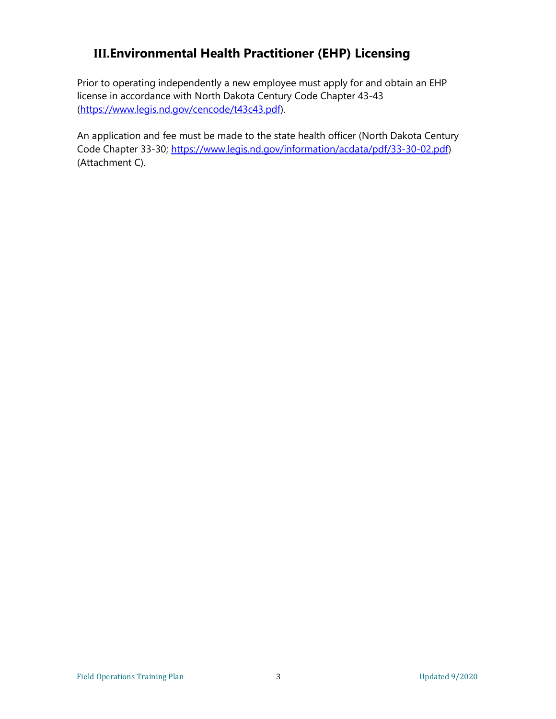## **III.Environmental Health Practitioner (EHP) Licensing**

Prior to operating independently a new employee must apply for and obtain an EHP license in accordance with North Dakota Century Code Chapter 43-43 [\(https://www.legis.nd.gov/cencode/t43c43.pdf\)](https://www.legis.nd.gov/cencode/t43c43.pdf).

An application and fee must be made to the state health officer (North Dakota Century Code Chapter 33-30; [https://www.legis.nd.gov/information/acdata/pdf/33-30-02.pdf\)](https://www.legis.nd.gov/information/acdata/pdf/33-30-02.pdf) (Attachment C).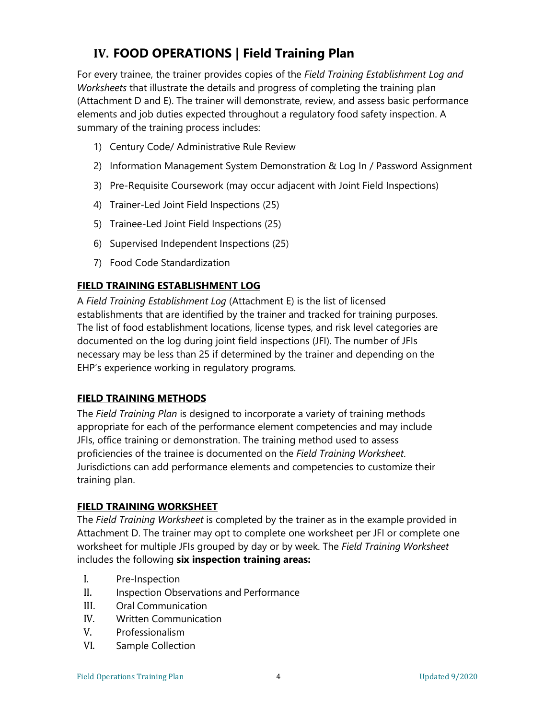## **IV. FOOD OPERATIONS | Field Training Plan**

For every trainee, the trainer provides copies of the *Field Training Establishment Log and Worksheets* that illustrate the details and progress of completing the training plan (Attachment D and E). The trainer will demonstrate, review, and assess basic performance elements and job duties expected throughout a regulatory food safety inspection. A summary of the training process includes:

- 1) Century Code/ Administrative Rule Review
- 2) Information Management System Demonstration & Log In / Password Assignment
- 3) Pre-Requisite Coursework (may occur adjacent with Joint Field Inspections)
- 4) Trainer-Led Joint Field Inspections (25)
- 5) Trainee-Led Joint Field Inspections (25)
- 6) Supervised Independent Inspections (25)
- 7) Food Code Standardization

#### **FIELD TRAINING ESTABLISHMENT LOG**

A *Field Training Establishment Log* (Attachment E) is the list of licensed establishments that are identified by the trainer and tracked for training purposes. The list of food establishment locations, license types, and risk level categories are documented on the log during joint field inspections (JFI). The number of JFIs necessary may be less than 25 if determined by the trainer and depending on the EHP's experience working in regulatory programs.

#### **FIELD TRAINING METHODS**

The *Field Training Plan* is designed to incorporate a variety of training methods appropriate for each of the performance element competencies and may include JFIs, office training or demonstration. The training method used to assess proficiencies of the trainee is documented on the *Field Training Worksheet*. Jurisdictions can add performance elements and competencies to customize their training plan.

#### **FIELD TRAINING WORKSHEET**

The *Field Training Worksheet* is completed by the trainer as in the example provided in Attachment D. The trainer may opt to complete one worksheet per JFI or complete one worksheet for multiple JFIs grouped by day or by week. The *Field Training Worksheet*  includes the following **six inspection training areas:**

- I. Pre-Inspection<br>II. Inspection Obs
- II. Inspection Observations and Performance<br>III. Oral Communication
- III. Oral Communication<br>IV. Written Communicat
- IV. Written Communication<br>V. Professionalism
- Professionalism
- VI. Sample Collection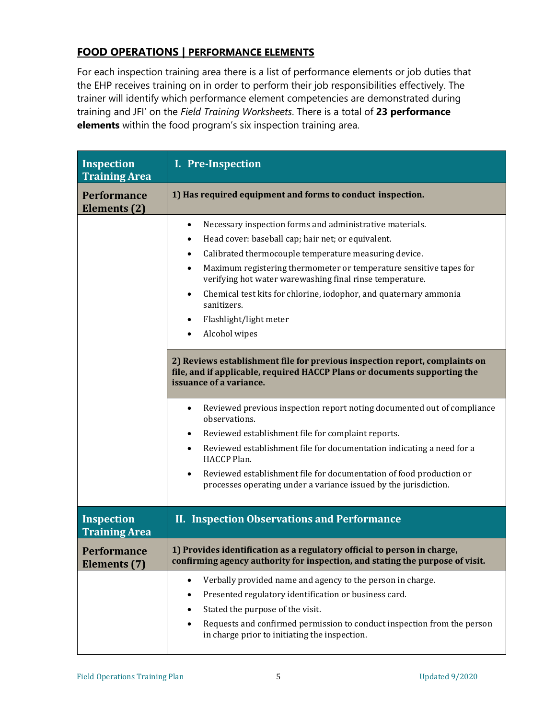#### **FOOD OPERATIONS | PERFORMANCE ELEMENTS**

For each inspection training area there is a list of performance elements or job duties that the EHP receives training on in order to perform their job responsibilities effectively. The trainer will identify which performance element competencies are demonstrated during training and JFI' on the *Field Training Worksheets*. There is a total of **23 performance elements** within the food program's six inspection training area.

| <b>Inspection</b><br><b>Training Area</b> | I. Pre-Inspection                                                                                                                                                                                                                                                                                                                                                                                                                                                                                                                                                                     |
|-------------------------------------------|---------------------------------------------------------------------------------------------------------------------------------------------------------------------------------------------------------------------------------------------------------------------------------------------------------------------------------------------------------------------------------------------------------------------------------------------------------------------------------------------------------------------------------------------------------------------------------------|
| <b>Performance</b><br>Elements (2)        | 1) Has required equipment and forms to conduct inspection.                                                                                                                                                                                                                                                                                                                                                                                                                                                                                                                            |
|                                           | Necessary inspection forms and administrative materials.<br>$\bullet$<br>Head cover: baseball cap; hair net; or equivalent.<br>$\bullet$<br>Calibrated thermocouple temperature measuring device.<br>$\bullet$<br>Maximum registering thermometer or temperature sensitive tapes for<br>$\bullet$<br>verifying hot water warewashing final rinse temperature.<br>Chemical test kits for chlorine, iodophor, and quaternary ammonia<br>$\bullet$<br>sanitizers.<br>Flashlight/light meter<br>Alcohol wipes                                                                             |
|                                           | 2) Reviews establishment file for previous inspection report, complaints on<br>file, and if applicable, required HACCP Plans or documents supporting the<br>issuance of a variance.<br>Reviewed previous inspection report noting documented out of compliance<br>observations.<br>Reviewed establishment file for complaint reports.<br>Reviewed establishment file for documentation indicating a need for a<br>HACCP Plan.<br>Reviewed establishment file for documentation of food production or<br>$\bullet$<br>processes operating under a variance issued by the jurisdiction. |
| <b>Inspection</b><br><b>Training Area</b> | <b>II. Inspection Observations and Performance</b>                                                                                                                                                                                                                                                                                                                                                                                                                                                                                                                                    |
| <b>Performance</b><br>Elements (7)        | 1) Provides identification as a regulatory official to person in charge,<br>confirming agency authority for inspection, and stating the purpose of visit.                                                                                                                                                                                                                                                                                                                                                                                                                             |
|                                           | Verbally provided name and agency to the person in charge.<br>$\bullet$<br>Presented regulatory identification or business card.<br>٠<br>Stated the purpose of the visit.<br>Requests and confirmed permission to conduct inspection from the person<br>in charge prior to initiating the inspection.                                                                                                                                                                                                                                                                                 |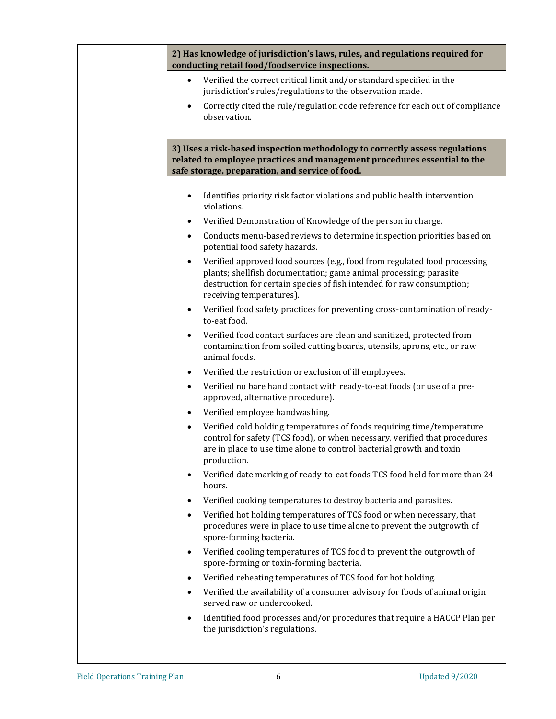**2) Has knowledge of jurisdiction's laws, rules, and regulations required for conducting retail food/foodservice inspections.**

- Verified the correct critical limit and/or standard specified in the jurisdiction's rules/regulations to the observation made.
- Correctly cited the rule/regulation code reference for each out of compliance observation.

**3) Uses a risk-based inspection methodology to correctly assess regulations related to employee practices and management procedures essential to the safe storage, preparation, and service of food.**

- Identifies priority risk factor violations and public health intervention violations.
- Verified Demonstration of Knowledge of the person in charge.
- Conducts menu-based reviews to determine inspection priorities based on potential food safety hazards.
- Verified approved food sources (e.g., food from regulated food processing plants; shellfish documentation; game animal processing; parasite destruction for certain species of fish intended for raw consumption; receiving temperatures).
- Verified food safety practices for preventing cross-contamination of readyto-eat food.
- Verified food contact surfaces are clean and sanitized, protected from contamination from soiled cutting boards, utensils, aprons, etc., or raw animal foods.
- Verified the restriction or exclusion of ill employees.
- Verified no bare hand contact with ready-to-eat foods (or use of a preapproved, alternative procedure).
- Verified employee handwashing.
- Verified cold holding temperatures of foods requiring time/temperature control for safety (TCS food), or when necessary, verified that procedures are in place to use time alone to control bacterial growth and toxin production.
- Verified date marking of ready-to-eat foods TCS food held for more than 24 hours.
- Verified cooking temperatures to destroy bacteria and parasites.
- Verified hot holding temperatures of TCS food or when necessary, that procedures were in place to use time alone to prevent the outgrowth of spore-forming bacteria.
- Verified cooling temperatures of TCS food to prevent the outgrowth of spore-forming or toxin-forming bacteria.
- Verified reheating temperatures of TCS food for hot holding.
- Verified the availability of a consumer advisory for foods of animal origin served raw or undercooked.
- Identified food processes and/or procedures that require a HACCP Plan per the jurisdiction's regulations.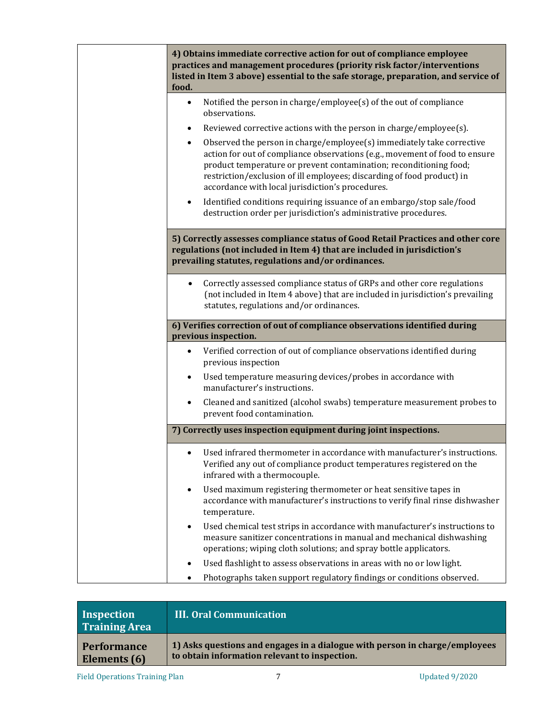| food.                                            | 4) Obtains immediate corrective action for out of compliance employee<br>practices and management procedures (priority risk factor/interventions<br>listed in Item 3 above) essential to the safe storage, preparation, and service of                                                                                                                                                                                                                                                                                                                                                                                                                                                                                                               |
|--------------------------------------------------|------------------------------------------------------------------------------------------------------------------------------------------------------------------------------------------------------------------------------------------------------------------------------------------------------------------------------------------------------------------------------------------------------------------------------------------------------------------------------------------------------------------------------------------------------------------------------------------------------------------------------------------------------------------------------------------------------------------------------------------------------|
| $\bullet$<br>$\bullet$<br>$\bullet$<br>$\bullet$ | Notified the person in charge/employee(s) of the out of compliance<br>observations.<br>Reviewed corrective actions with the person in charge/employee(s).<br>Observed the person in charge/employee(s) immediately take corrective<br>action for out of compliance observations (e.g., movement of food to ensure<br>product temperature or prevent contamination; reconditioning food;<br>restriction/exclusion of ill employees; discarding of food product) in<br>accordance with local jurisdiction's procedures.<br>Identified conditions requiring issuance of an embargo/stop sale/food<br>destruction order per jurisdiction's administrative procedures.<br>5) Correctly assesses compliance status of Good Retail Practices and other core |
|                                                  | regulations (not included in Item 4) that are included in jurisdiction's<br>prevailing statutes, regulations and/or ordinances.                                                                                                                                                                                                                                                                                                                                                                                                                                                                                                                                                                                                                      |
| $\bullet$                                        | Correctly assessed compliance status of GRPs and other core regulations<br>(not included in Item 4 above) that are included in jurisdiction's prevailing<br>statutes, regulations and/or ordinances.                                                                                                                                                                                                                                                                                                                                                                                                                                                                                                                                                 |
|                                                  | 6) Verifies correction of out of compliance observations identified during<br>previous inspection.                                                                                                                                                                                                                                                                                                                                                                                                                                                                                                                                                                                                                                                   |
| $\bullet$<br>$\bullet$                           | Verified correction of out of compliance observations identified during<br>previous inspection<br>Used temperature measuring devices/probes in accordance with                                                                                                                                                                                                                                                                                                                                                                                                                                                                                                                                                                                       |
| $\bullet$                                        | manufacturer's instructions.<br>Cleaned and sanitized (alcohol swabs) temperature measurement probes to<br>prevent food contamination.                                                                                                                                                                                                                                                                                                                                                                                                                                                                                                                                                                                                               |
|                                                  | 7) Correctly uses inspection equipment during joint inspections.                                                                                                                                                                                                                                                                                                                                                                                                                                                                                                                                                                                                                                                                                     |
| $\bullet$                                        | Used infrared thermometer in accordance with manufacturer's instructions.<br>Verified any out of compliance product temperatures registered on the<br>infrared with a thermocouple.                                                                                                                                                                                                                                                                                                                                                                                                                                                                                                                                                                  |
| $\bullet$                                        | Used maximum registering thermometer or heat sensitive tapes in<br>accordance with manufacturer's instructions to verify final rinse dishwasher<br>temperature.                                                                                                                                                                                                                                                                                                                                                                                                                                                                                                                                                                                      |
|                                                  |                                                                                                                                                                                                                                                                                                                                                                                                                                                                                                                                                                                                                                                                                                                                                      |
| ٠                                                | Used chemical test strips in accordance with manufacturer's instructions to<br>measure sanitizer concentrations in manual and mechanical dishwashing<br>operations; wiping cloth solutions; and spray bottle applicators.                                                                                                                                                                                                                                                                                                                                                                                                                                                                                                                            |

| Inspection<br><b>Training Area</b> | <b>III. Oral Communication</b>                                              |
|------------------------------------|-----------------------------------------------------------------------------|
| <b>Performance</b>                 | 1) Asks questions and engages in a dialogue with person in charge/employees |
| Elements (6)                       | to obtain information relevant to inspection.                               |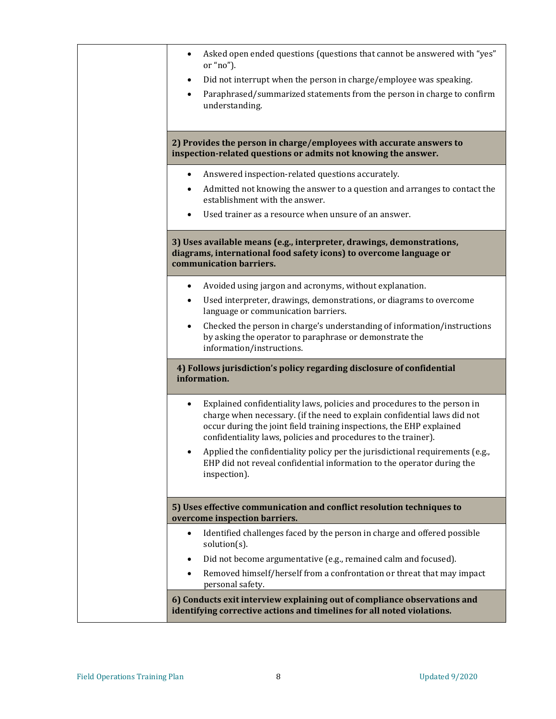| Asked open ended questions (questions that cannot be answered with "yes"<br>or "no").<br>Did not interrupt when the person in charge/employee was speaking.<br>٠<br>Paraphrased/summarized statements from the person in charge to confirm<br>$\bullet$<br>understanding.                                                                                                                                                                                                 |
|---------------------------------------------------------------------------------------------------------------------------------------------------------------------------------------------------------------------------------------------------------------------------------------------------------------------------------------------------------------------------------------------------------------------------------------------------------------------------|
| 2) Provides the person in charge/employees with accurate answers to<br>inspection-related questions or admits not knowing the answer.                                                                                                                                                                                                                                                                                                                                     |
| Answered inspection-related questions accurately.<br>٠<br>Admitted not knowing the answer to a question and arranges to contact the<br>$\bullet$<br>establishment with the answer.<br>Used trainer as a resource when unsure of an answer.                                                                                                                                                                                                                                |
| 3) Uses available means (e.g., interpreter, drawings, demonstrations,<br>diagrams, international food safety icons) to overcome language or<br>communication barriers.                                                                                                                                                                                                                                                                                                    |
| Avoided using jargon and acronyms, without explanation.<br>$\bullet$<br>Used interpreter, drawings, demonstrations, or diagrams to overcome<br>language or communication barriers.<br>Checked the person in charge's understanding of information/instructions<br>$\bullet$<br>by asking the operator to paraphrase or demonstrate the<br>information/instructions.                                                                                                       |
| 4) Follows jurisdiction's policy regarding disclosure of confidential<br>information.                                                                                                                                                                                                                                                                                                                                                                                     |
| Explained confidentiality laws, policies and procedures to the person in<br>charge when necessary. (if the need to explain confidential laws did not<br>occur during the joint field training inspections, the EHP explained<br>confidentiality laws, policies and procedures to the trainer).<br>Applied the confidentiality policy per the jurisdictional requirements (e.g.,<br>EHP did not reveal confidential information to the operator during the<br>inspection). |
| 5) Uses effective communication and conflict resolution techniques to<br>overcome inspection barriers.                                                                                                                                                                                                                                                                                                                                                                    |
| Identified challenges faced by the person in charge and offered possible<br>$\bullet$<br>solution(s).<br>Did not become argumentative (e.g., remained calm and focused).<br>$\bullet$<br>Removed himself/herself from a confrontation or threat that may impact<br>$\bullet$<br>personal safety.                                                                                                                                                                          |
| 6) Conducts exit interview explaining out of compliance observations and<br>identifying corrective actions and timelines for all noted violations.                                                                                                                                                                                                                                                                                                                        |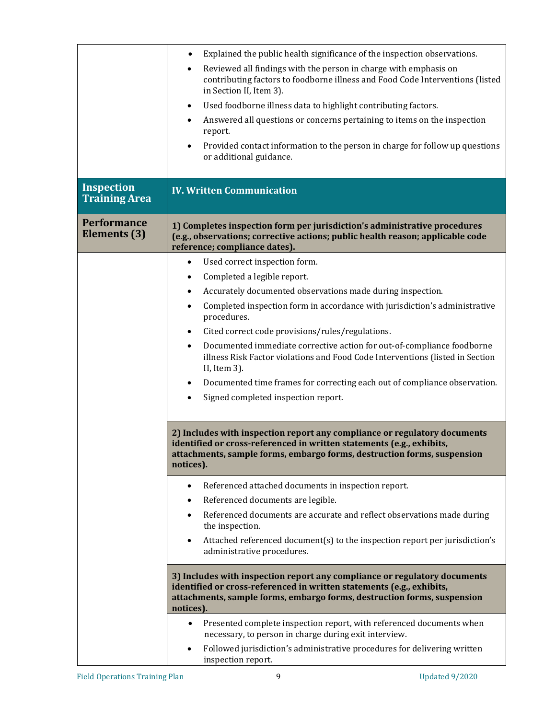|                                           | Explained the public health significance of the inspection observations.                                                                                                                                                                   |
|-------------------------------------------|--------------------------------------------------------------------------------------------------------------------------------------------------------------------------------------------------------------------------------------------|
|                                           | Reviewed all findings with the person in charge with emphasis on<br>$\bullet$<br>contributing factors to foodborne illness and Food Code Interventions (listed<br>in Section II, Item 3).                                                  |
|                                           | Used foodborne illness data to highlight contributing factors.<br>$\bullet$                                                                                                                                                                |
|                                           | Answered all questions or concerns pertaining to items on the inspection                                                                                                                                                                   |
|                                           | report.                                                                                                                                                                                                                                    |
|                                           | Provided contact information to the person in charge for follow up questions<br>or additional guidance.                                                                                                                                    |
| <b>Inspection</b><br><b>Training Area</b> | <b>IV. Written Communication</b>                                                                                                                                                                                                           |
| <b>Performance</b><br>Elements (3)        | 1) Completes inspection form per jurisdiction's administrative procedures<br>(e.g., observations; corrective actions; public health reason; applicable code<br>reference; compliance dates).                                               |
|                                           | Used correct inspection form.<br>$\bullet$                                                                                                                                                                                                 |
|                                           | Completed a legible report.<br>$\bullet$                                                                                                                                                                                                   |
|                                           | Accurately documented observations made during inspection.                                                                                                                                                                                 |
|                                           | Completed inspection form in accordance with jurisdiction's administrative<br>procedures.                                                                                                                                                  |
|                                           | Cited correct code provisions/rules/regulations.<br>$\bullet$                                                                                                                                                                              |
|                                           | Documented immediate corrective action for out-of-compliance foodborne<br>$\bullet$<br>illness Risk Factor violations and Food Code Interventions (listed in Section<br>II, Item 3).                                                       |
|                                           | Documented time frames for correcting each out of compliance observation.<br>٠                                                                                                                                                             |
|                                           | Signed completed inspection report.                                                                                                                                                                                                        |
|                                           | 2) Includes with inspection report any compliance or regulatory documents<br>identified or cross-referenced in written statements (e.g., exhibits,<br>attachments, sample forms, embargo forms, destruction forms, suspension<br>notices). |
|                                           | Referenced attached documents in inspection report.                                                                                                                                                                                        |
|                                           | Referenced documents are legible.<br>$\bullet$                                                                                                                                                                                             |
|                                           | Referenced documents are accurate and reflect observations made during<br>the inspection.                                                                                                                                                  |
|                                           | Attached referenced document(s) to the inspection report per jurisdiction's<br>administrative procedures.                                                                                                                                  |
|                                           | 3) Includes with inspection report any compliance or regulatory documents<br>identified or cross-referenced in written statements (e.g., exhibits,<br>attachments, sample forms, embargo forms, destruction forms, suspension<br>notices). |
|                                           | Presented complete inspection report, with referenced documents when<br>$\bullet$<br>necessary, to person in charge during exit interview.                                                                                                 |
|                                           | Followed jurisdiction's administrative procedures for delivering written<br>inspection report.                                                                                                                                             |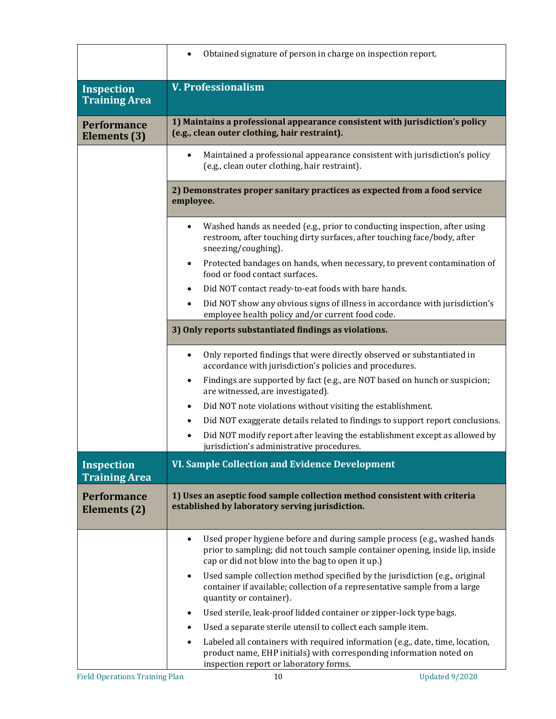|                                           | Obtained signature of person in charge on inspection report.                                                                                                                                                               |
|-------------------------------------------|----------------------------------------------------------------------------------------------------------------------------------------------------------------------------------------------------------------------------|
| <b>Inspection</b><br><b>Training Area</b> | <b>V. Professionalism</b>                                                                                                                                                                                                  |
| <b>Performance</b><br>Elements (3)        | 1) Maintains a professional appearance consistent with jurisdiction's policy<br>(e.g., clean outer clothing, hair restraint).                                                                                              |
|                                           | Maintained a professional appearance consistent with jurisdiction's policy<br>$\bullet$<br>(e.g., clean outer clothing, hair restraint).                                                                                   |
|                                           | 2) Demonstrates proper sanitary practices as expected from a food service<br>employee.                                                                                                                                     |
|                                           | Washed hands as needed (e.g., prior to conducting inspection, after using<br>$\bullet$<br>restroom, after touching dirty surfaces, after touching face/body, after<br>sneezing/coughing).                                  |
|                                           | Protected bandages on hands, when necessary, to prevent contamination of<br>$\bullet$<br>food or food contact surfaces.                                                                                                    |
|                                           | Did NOT contact ready-to-eat foods with bare hands.<br>$\bullet$                                                                                                                                                           |
|                                           | Did NOT show any obvious signs of illness in accordance with jurisdiction's<br>$\bullet$<br>employee health policy and/or current food code.                                                                               |
|                                           | 3) Only reports substantiated findings as violations.                                                                                                                                                                      |
|                                           | Only reported findings that were directly observed or substantiated in<br>$\bullet$<br>accordance with jurisdiction's policies and procedures.                                                                             |
|                                           | Findings are supported by fact (e.g., are NOT based on hunch or suspicion;<br>$\bullet$<br>are witnessed, are investigated).                                                                                               |
|                                           | Did NOT note violations without visiting the establishment.<br>$\bullet$                                                                                                                                                   |
|                                           | Did NOT exaggerate details related to findings to support report conclusions.                                                                                                                                              |
|                                           | Did NOT modify report after leaving the establishment except as allowed by<br>jurisdiction's administrative procedures.                                                                                                    |
| <b>Inspection</b><br><b>Training Area</b> | VI. Sample Collection and Evidence Development                                                                                                                                                                             |
| <b>Performance</b><br>Elements (2)        | 1) Uses an aseptic food sample collection method consistent with criteria<br>established by laboratory serving jurisdiction.                                                                                               |
|                                           | Used proper hygiene before and during sample process (e.g., washed hands<br>$\bullet$<br>prior to sampling; did not touch sample container opening, inside lip, inside<br>cap or did not blow into the bag to open it up.) |
|                                           | Used sample collection method specified by the jurisdiction (e.g., original<br>$\bullet$<br>container if available; collection of a representative sample from a large<br>quantity or container).                          |
|                                           | Used sterile, leak-proof lidded container or zipper-lock type bags.<br>$\bullet$                                                                                                                                           |
|                                           | Used a separate sterile utensil to collect each sample item.<br>٠                                                                                                                                                          |
|                                           | Labeled all containers with required information (e.g., date, time, location,<br>$\bullet$<br>product name, EHP initials) with corresponding information noted on<br>inspection report or laboratory forms.                |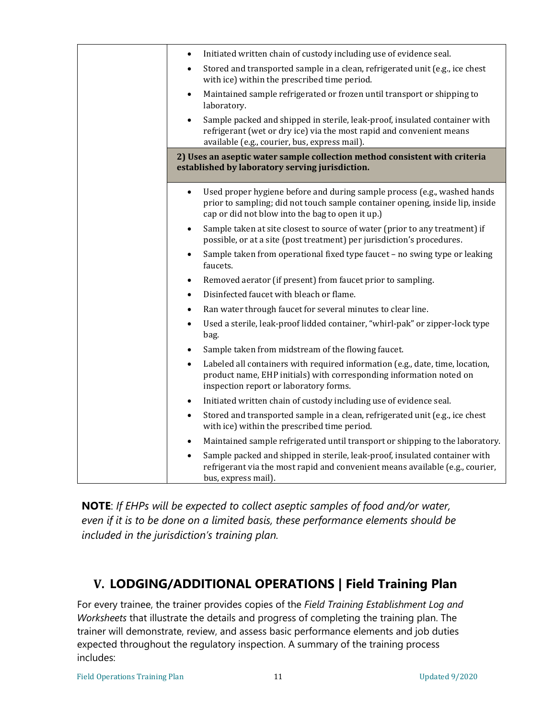| Initiated written chain of custody including use of evidence seal.<br>$\bullet$                                                                                                                                            |
|----------------------------------------------------------------------------------------------------------------------------------------------------------------------------------------------------------------------------|
| Stored and transported sample in a clean, refrigerated unit (e.g., ice chest<br>with ice) within the prescribed time period.                                                                                               |
| Maintained sample refrigerated or frozen until transport or shipping to<br>$\bullet$<br>laboratory.                                                                                                                        |
| Sample packed and shipped in sterile, leak-proof, insulated container with<br>refrigerant (wet or dry ice) via the most rapid and convenient means<br>available (e.g., courier, bus, express mail).                        |
| 2) Uses an aseptic water sample collection method consistent with criteria<br>established by laboratory serving jurisdiction.                                                                                              |
| Used proper hygiene before and during sample process (e.g., washed hands<br>$\bullet$<br>prior to sampling; did not touch sample container opening, inside lip, inside<br>cap or did not blow into the bag to open it up.) |
| Sample taken at site closest to source of water (prior to any treatment) if<br>$\bullet$<br>possible, or at a site (post treatment) per jurisdiction's procedures.                                                         |
| Sample taken from operational fixed type faucet - no swing type or leaking<br>faucets.                                                                                                                                     |
| Removed aerator (if present) from faucet prior to sampling.<br>$\bullet$                                                                                                                                                   |
| Disinfected faucet with bleach or flame.<br>$\bullet$                                                                                                                                                                      |
| Ran water through faucet for several minutes to clear line.<br>$\bullet$                                                                                                                                                   |
| Used a sterile, leak-proof lidded container, "whirl-pak" or zipper-lock type<br>$\bullet$<br>bag.                                                                                                                          |
| Sample taken from midstream of the flowing faucet.                                                                                                                                                                         |
| Labeled all containers with required information (e.g., date, time, location,<br>$\bullet$<br>product name, EHP initials) with corresponding information noted on<br>inspection report or laboratory forms.                |
| Initiated written chain of custody including use of evidence seal.<br>$\bullet$                                                                                                                                            |
| Stored and transported sample in a clean, refrigerated unit (e.g., ice chest<br>with ice) within the prescribed time period.                                                                                               |
| Maintained sample refrigerated until transport or shipping to the laboratory.                                                                                                                                              |
| Sample packed and shipped in sterile, leak-proof, insulated container with<br>refrigerant via the most rapid and convenient means available (e.g., courier,<br>bus, express mail).                                         |

**NOTE**: *If EHPs will be expected to collect aseptic samples of food and/or water, even if it is to be done on a limited basis, these performance elements should be included in the jurisdiction's training plan.*

### **V. LODGING/ADDITIONAL OPERATIONS | Field Training Plan**

For every trainee, the trainer provides copies of the *Field Training Establishment Log and Worksheets* that illustrate the details and progress of completing the training plan. The trainer will demonstrate, review, and assess basic performance elements and job duties expected throughout the regulatory inspection. A summary of the training process includes: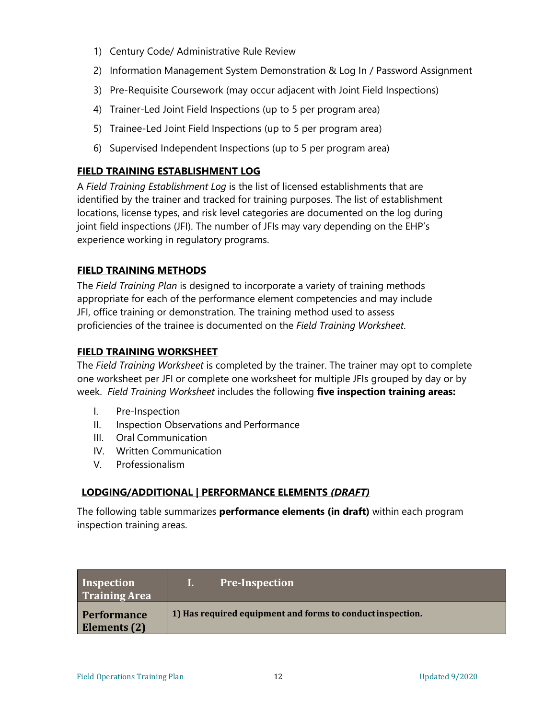- 1) Century Code/ Administrative Rule Review
- 2) Information Management System Demonstration & Log In / Password Assignment
- 3) Pre-Requisite Coursework (may occur adjacent with Joint Field Inspections)
- 4) Trainer-Led Joint Field Inspections (up to 5 per program area)
- 5) Trainee-Led Joint Field Inspections (up to 5 per program area)
- 6) Supervised Independent Inspections (up to 5 per program area)

#### **FIELD TRAINING ESTABLISHMENT LOG**

A *Field Training Establishment Log* is the list of licensed establishments that are identified by the trainer and tracked for training purposes. The list of establishment locations, license types, and risk level categories are documented on the log during joint field inspections (JFI). The number of JFIs may vary depending on the EHP's experience working in regulatory programs.

#### **FIELD TRAINING METHODS**

The *Field Training Plan* is designed to incorporate a variety of training methods appropriate for each of the performance element competencies and may include JFI, office training or demonstration. The training method used to assess proficiencies of the trainee is documented on the *Field Training Worksheet*.

#### **FIELD TRAINING WORKSHEET**

The *Field Training Worksheet* is completed by the trainer. The trainer may opt to complete one worksheet per JFI or complete one worksheet for multiple JFIs grouped by day or by week. *Field Training Worksheet* includes the following **five inspection training areas:**

- I. Pre-Inspection
- II. Inspection Observations and Performance
- III. Oral Communication
- IV. Written Communication
- V. Professionalism

#### **LODGING/ADDITIONAL | PERFORMANCE ELEMENTS** *(DRAFT)*

The following table summarizes **performance elements (in draft)** within each program inspection training areas.

| Inspection<br><b>Training Area</b> | <b>Pre-Inspection</b>                                     |
|------------------------------------|-----------------------------------------------------------|
| <b>Performance</b><br>Elements (2) | 1) Has required equipment and forms to conductinspection. |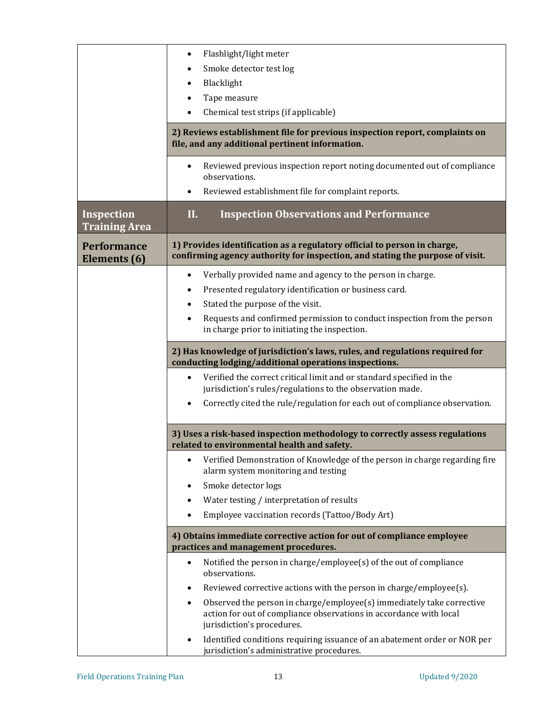|                                           | Flashlight/light meter                                                                                                                                    |
|-------------------------------------------|-----------------------------------------------------------------------------------------------------------------------------------------------------------|
|                                           | Smoke detector test log                                                                                                                                   |
|                                           | Blacklight                                                                                                                                                |
|                                           | Tape measure                                                                                                                                              |
|                                           | Chemical test strips (if applicable)                                                                                                                      |
|                                           |                                                                                                                                                           |
|                                           | 2) Reviews establishment file for previous inspection report, complaints on<br>file, and any additional pertinent information.                            |
|                                           | Reviewed previous inspection report noting documented out of compliance<br>$\bullet$<br>observations.                                                     |
|                                           | Reviewed establishment file for complaint reports.                                                                                                        |
| <b>Inspection</b><br><b>Training Area</b> | П.<br><b>Inspection Observations and Performance</b>                                                                                                      |
| <b>Performance</b><br>Elements (6)        | 1) Provides identification as a regulatory official to person in charge,<br>confirming agency authority for inspection, and stating the purpose of visit. |
|                                           | Verbally provided name and agency to the person in charge.<br>$\bullet$                                                                                   |
|                                           | Presented regulatory identification or business card.                                                                                                     |
|                                           | Stated the purpose of the visit.<br>$\bullet$                                                                                                             |
|                                           | Requests and confirmed permission to conduct inspection from the person<br>$\bullet$                                                                      |
|                                           | in charge prior to initiating the inspection.                                                                                                             |
|                                           | 2) Has knowledge of jurisdiction's laws, rules, and regulations required for<br>conducting lodging/additional operations inspections.                     |
|                                           | Verified the correct critical limit and or standard specified in the<br>$\bullet$<br>jurisdiction's rules/regulations to the observation made.            |
|                                           | Correctly cited the rule/regulation for each out of compliance observation.                                                                               |
|                                           | 3) Uses a risk-based inspection methodology to correctly assess regulations<br>related to environmental health and safety.                                |
|                                           | Verified Demonstration of Knowledge of the person in charge regarding fire<br>alarm system monitoring and testing                                         |
|                                           | Smoke detector logs                                                                                                                                       |
|                                           | Water testing / interpretation of results                                                                                                                 |
|                                           | Employee vaccination records (Tattoo/Body Art)                                                                                                            |
|                                           | 4) Obtains immediate corrective action for out of compliance employee<br>practices and management procedures.                                             |
|                                           | Notified the person in charge/employee(s) of the out of compliance<br>$\bullet$<br>observations.                                                          |
|                                           | Reviewed corrective actions with the person in charge/employee(s).<br>٠                                                                                   |
|                                           | Observed the person in charge/employee(s) immediately take corrective<br>٠<br>action for out of compliance observations in accordance with local          |
|                                           | jurisdiction's procedures.                                                                                                                                |
|                                           | Identified conditions requiring issuance of an abatement order or NOR per<br>jurisdiction's administrative procedures.                                    |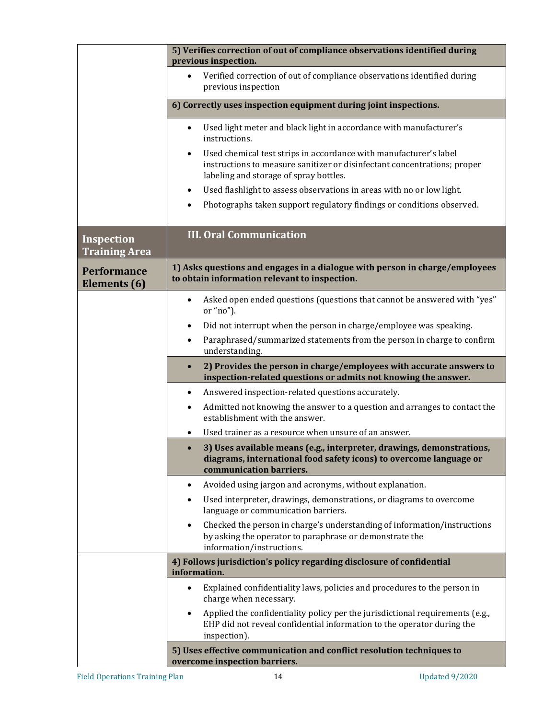|                                           | 5) Verifies correction of out of compliance observations identified during<br>previous inspection.                                                                                                   |
|-------------------------------------------|------------------------------------------------------------------------------------------------------------------------------------------------------------------------------------------------------|
|                                           | Verified correction of out of compliance observations identified during<br>$\bullet$<br>previous inspection                                                                                          |
|                                           | 6) Correctly uses inspection equipment during joint inspections.                                                                                                                                     |
|                                           | Used light meter and black light in accordance with manufacturer's<br>$\bullet$<br>instructions.                                                                                                     |
|                                           | Used chemical test strips in accordance with manufacturer's label<br>$\bullet$<br>instructions to measure sanitizer or disinfectant concentrations; proper<br>labeling and storage of spray bottles. |
|                                           | Used flashlight to assess observations in areas with no or low light.<br>$\bullet$                                                                                                                   |
|                                           | Photographs taken support regulatory findings or conditions observed.                                                                                                                                |
| <b>Inspection</b><br><b>Training Area</b> | <b>III. Oral Communication</b>                                                                                                                                                                       |
| <b>Performance</b><br>Elements (6)        | 1) Asks questions and engages in a dialogue with person in charge/employees<br>to obtain information relevant to inspection.                                                                         |
|                                           | Asked open ended questions (questions that cannot be answered with "yes"<br>$\bullet$<br>or "no").                                                                                                   |
|                                           | Did not interrupt when the person in charge/employee was speaking.<br>$\bullet$                                                                                                                      |
|                                           | Paraphrased/summarized statements from the person in charge to confirm<br>$\bullet$<br>understanding.                                                                                                |
|                                           | 2) Provides the person in charge/employees with accurate answers to<br>$\bullet$<br>inspection-related questions or admits not knowing the answer.                                                   |
|                                           | Answered inspection-related questions accurately.<br>$\bullet$                                                                                                                                       |
|                                           | Admitted not knowing the answer to a question and arranges to contact the<br>$\bullet$<br>establishment with the answer.                                                                             |
|                                           | Used trainer as a resource when unsure of an answer.<br>٠                                                                                                                                            |
|                                           | 3) Uses available means (e.g., interpreter, drawings, demonstrations,<br>$\bullet$<br>diagrams, international food safety icons) to overcome language or<br>communication barriers.                  |
|                                           | Avoided using jargon and acronyms, without explanation.<br>٠                                                                                                                                         |
|                                           | Used interpreter, drawings, demonstrations, or diagrams to overcome<br>$\bullet$<br>language or communication barriers.                                                                              |
|                                           | Checked the person in charge's understanding of information/instructions<br>$\bullet$<br>by asking the operator to paraphrase or demonstrate the<br>information/instructions.                        |
|                                           | 4) Follows jurisdiction's policy regarding disclosure of confidential<br>information.                                                                                                                |
|                                           | Explained confidentiality laws, policies and procedures to the person in<br>charge when necessary.                                                                                                   |
|                                           | Applied the confidentiality policy per the jurisdictional requirements (e.g.,<br>$\bullet$<br>EHP did not reveal confidential information to the operator during the<br>inspection).                 |
|                                           | 5) Uses effective communication and conflict resolution techniques to<br>overcome inspection barriers.                                                                                               |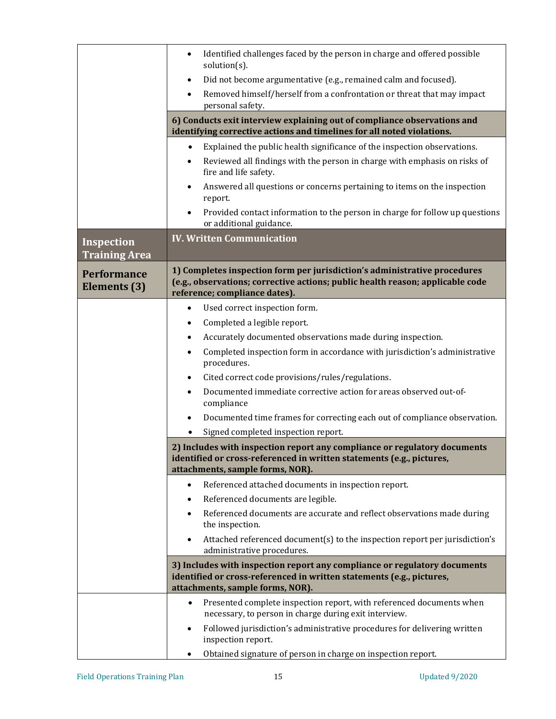|                                    | Identified challenges faced by the person in charge and offered possible<br>$\bullet$<br>$solution(s)$ .                                                                                     |  |  |  |  |  |
|------------------------------------|----------------------------------------------------------------------------------------------------------------------------------------------------------------------------------------------|--|--|--|--|--|
|                                    | Did not become argumentative (e.g., remained calm and focused).<br>$\bullet$                                                                                                                 |  |  |  |  |  |
|                                    | Removed himself/herself from a confrontation or threat that may impact<br>personal safety.                                                                                                   |  |  |  |  |  |
|                                    | 6) Conducts exit interview explaining out of compliance observations and<br>identifying corrective actions and timelines for all noted violations.                                           |  |  |  |  |  |
|                                    | Explained the public health significance of the inspection observations.<br>$\bullet$                                                                                                        |  |  |  |  |  |
|                                    | Reviewed all findings with the person in charge with emphasis on risks of<br>$\bullet$<br>fire and life safety.                                                                              |  |  |  |  |  |
|                                    | Answered all questions or concerns pertaining to items on the inspection<br>report.                                                                                                          |  |  |  |  |  |
|                                    | Provided contact information to the person in charge for follow up questions<br>or additional guidance.                                                                                      |  |  |  |  |  |
| Inspection                         | <b>IV. Written Communication</b>                                                                                                                                                             |  |  |  |  |  |
| <b>Training Area</b>               |                                                                                                                                                                                              |  |  |  |  |  |
| <b>Performance</b><br>Elements (3) | 1) Completes inspection form per jurisdiction's administrative procedures<br>(e.g., observations; corrective actions; public health reason; applicable code<br>reference; compliance dates). |  |  |  |  |  |
|                                    | Used correct inspection form.<br>$\bullet$                                                                                                                                                   |  |  |  |  |  |
|                                    | Completed a legible report.<br>$\bullet$                                                                                                                                                     |  |  |  |  |  |
|                                    | Accurately documented observations made during inspection.<br>$\bullet$                                                                                                                      |  |  |  |  |  |
|                                    | Completed inspection form in accordance with jurisdiction's administrative<br>$\bullet$<br>procedures.                                                                                       |  |  |  |  |  |
|                                    | Cited correct code provisions/rules/regulations.<br>$\bullet$                                                                                                                                |  |  |  |  |  |
|                                    | Documented immediate corrective action for areas observed out-of-<br>$\bullet$<br>compliance                                                                                                 |  |  |  |  |  |
|                                    | Documented time frames for correcting each out of compliance observation.<br>$\bullet$                                                                                                       |  |  |  |  |  |
|                                    | Signed completed inspection report.                                                                                                                                                          |  |  |  |  |  |
|                                    | 2) Includes with inspection report any compliance or regulatory documents<br>identified or cross-referenced in written statements (e.g., pictures,<br>attachments, sample forms, NOR).       |  |  |  |  |  |
|                                    | Referenced attached documents in inspection report.<br>$\bullet$                                                                                                                             |  |  |  |  |  |
|                                    | Referenced documents are legible.<br>$\bullet$                                                                                                                                               |  |  |  |  |  |
|                                    | Referenced documents are accurate and reflect observations made during<br>the inspection.                                                                                                    |  |  |  |  |  |
|                                    | Attached referenced document(s) to the inspection report per jurisdiction's<br>administrative procedures.                                                                                    |  |  |  |  |  |
|                                    | 3) Includes with inspection report any compliance or regulatory documents<br>identified or cross-referenced in written statements (e.g., pictures,<br>attachments, sample forms, NOR).       |  |  |  |  |  |
|                                    | Presented complete inspection report, with referenced documents when<br>$\bullet$                                                                                                            |  |  |  |  |  |
|                                    | necessary, to person in charge during exit interview.                                                                                                                                        |  |  |  |  |  |
|                                    | Followed jurisdiction's administrative procedures for delivering written<br>$\bullet$<br>inspection report.                                                                                  |  |  |  |  |  |
|                                    | Obtained signature of person in charge on inspection report.                                                                                                                                 |  |  |  |  |  |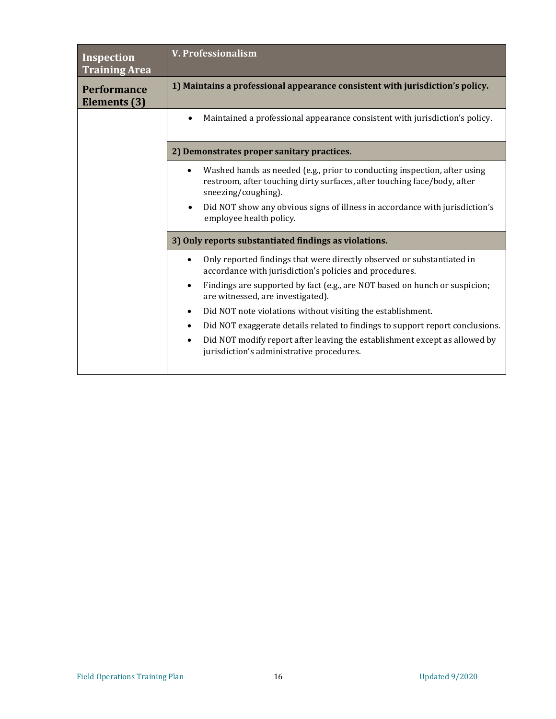| Inspection<br><b>Training Area</b> | <b>V. Professionalism</b>                                                                                                                                                    |
|------------------------------------|------------------------------------------------------------------------------------------------------------------------------------------------------------------------------|
| <b>Performance</b><br>Elements (3) | 1) Maintains a professional appearance consistent with jurisdiction's policy.                                                                                                |
|                                    | Maintained a professional appearance consistent with jurisdiction's policy.                                                                                                  |
|                                    | 2) Demonstrates proper sanitary practices.                                                                                                                                   |
|                                    | Washed hands as needed (e.g., prior to conducting inspection, after using<br>restroom, after touching dirty surfaces, after touching face/body, after<br>sneezing/coughing). |
|                                    | Did NOT show any obvious signs of illness in accordance with jurisdiction's<br>$\bullet$<br>employee health policy.                                                          |
|                                    | 3) Only reports substantiated findings as violations.                                                                                                                        |
|                                    | Only reported findings that were directly observed or substantiated in<br>$\bullet$<br>accordance with jurisdiction's policies and procedures.                               |
|                                    | Findings are supported by fact (e.g., are NOT based on hunch or suspicion;<br>$\bullet$<br>are witnessed, are investigated).                                                 |
|                                    | Did NOT note violations without visiting the establishment.<br>$\bullet$                                                                                                     |
|                                    | Did NOT exaggerate details related to findings to support report conclusions.<br>$\bullet$                                                                                   |
|                                    | Did NOT modify report after leaving the establishment except as allowed by<br>$\bullet$<br>jurisdiction's administrative procedures.                                         |
|                                    |                                                                                                                                                                              |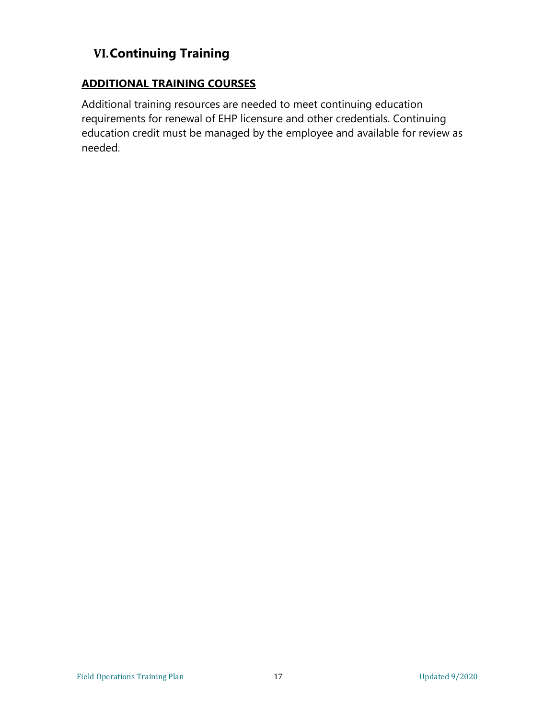## **VI.Continuing Training**

#### **ADDITIONAL TRAINING COURSES**

Additional training resources are needed to meet continuing education requirements for renewal of EHP licensure and other credentials. Continuing education credit must be managed by the employee and available for review as needed.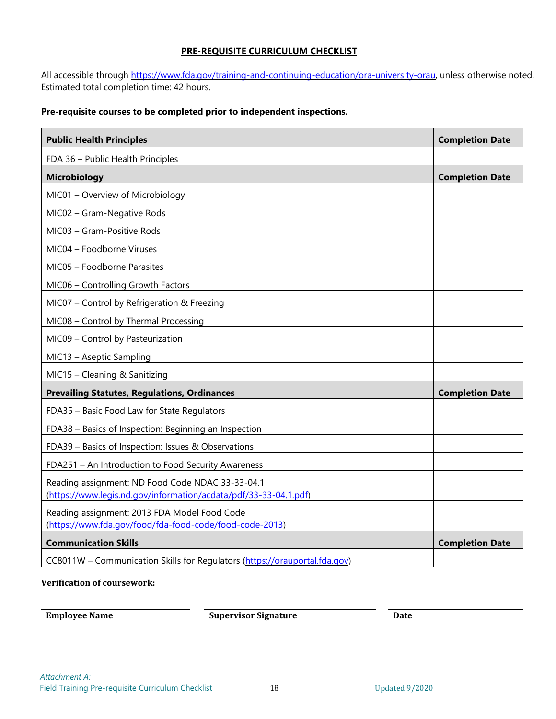#### **PRE-REQUISITE CURRICULUM CHECKLIST**

All accessible through [https://www.fda.gov/training-and-continuing-education/ora-university-orau,](https://www.fda.gov/training-and-continuing-education/ora-university-orau) unless otherwise noted. Estimated total completion time: 42 hours.

#### **Pre-requisite courses to be completed prior to independent inspections.**

| <b>Public Health Principles</b>                                                                                      | <b>Completion Date</b> |
|----------------------------------------------------------------------------------------------------------------------|------------------------|
| FDA 36 - Public Health Principles                                                                                    |                        |
| <b>Microbiology</b>                                                                                                  | <b>Completion Date</b> |
| MIC01 - Overview of Microbiology                                                                                     |                        |
| MIC02 - Gram-Negative Rods                                                                                           |                        |
| MIC03 - Gram-Positive Rods                                                                                           |                        |
| MIC04 - Foodborne Viruses                                                                                            |                        |
| MIC05 - Foodborne Parasites                                                                                          |                        |
| MIC06 - Controlling Growth Factors                                                                                   |                        |
| MIC07 - Control by Refrigeration & Freezing                                                                          |                        |
| MIC08 - Control by Thermal Processing                                                                                |                        |
| MIC09 - Control by Pasteurization                                                                                    |                        |
| MIC13 - Aseptic Sampling                                                                                             |                        |
| MIC15 - Cleaning & Sanitizing                                                                                        |                        |
| <b>Prevailing Statutes, Regulations, Ordinances</b>                                                                  | <b>Completion Date</b> |
| FDA35 - Basic Food Law for State Regulators                                                                          |                        |
| FDA38 - Basics of Inspection: Beginning an Inspection                                                                |                        |
| FDA39 - Basics of Inspection: Issues & Observations                                                                  |                        |
| FDA251 - An Introduction to Food Security Awareness                                                                  |                        |
| Reading assignment: ND Food Code NDAC 33-33-04.1<br>(https://www.legis.nd.gov/information/acdata/pdf/33-33-04.1.pdf) |                        |
| Reading assignment: 2013 FDA Model Food Code<br>(https://www.fda.gov/food/fda-food-code/food-code-2013)              |                        |
| <b>Communication Skills</b>                                                                                          | <b>Completion Date</b> |
| CC8011W - Communication Skills for Regulators (https://orauportal.fda.gov)                                           |                        |

#### **Verification of coursework:**

**Employee Name Supervisor Signature Date**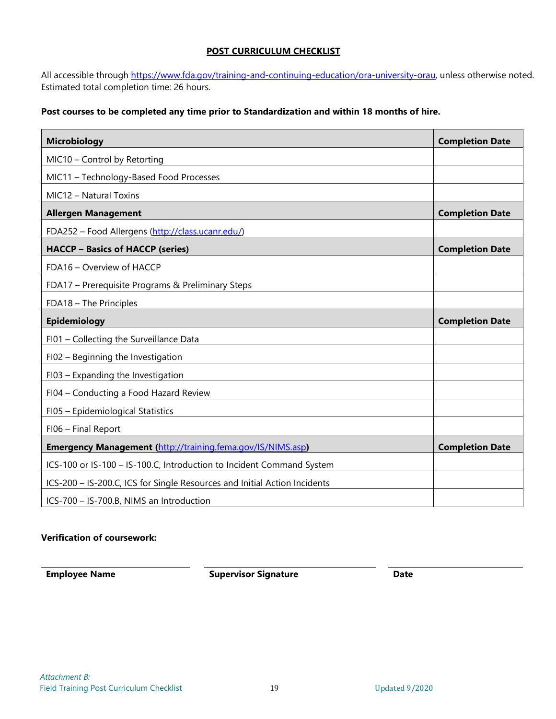#### **POST CURRICULUM CHECKLIST**

All accessible through [https://www.fda.gov/training-and-continuing-education/ora-university-orau,](https://www.fda.gov/training-and-continuing-education/ora-university-orau) unless otherwise noted. Estimated total completion time: 26 hours.

#### **Post courses to be completed any time prior to Standardization and within 18 months of hire.**

| <b>Microbiology</b>                                                       | <b>Completion Date</b> |
|---------------------------------------------------------------------------|------------------------|
| MIC10 - Control by Retorting                                              |                        |
| MIC11 - Technology-Based Food Processes                                   |                        |
| MIC12 - Natural Toxins                                                    |                        |
| <b>Allergen Management</b>                                                | <b>Completion Date</b> |
| FDA252 - Food Allergens (http://class.ucanr.edu/)                         |                        |
| <b>HACCP - Basics of HACCP (series)</b>                                   | <b>Completion Date</b> |
| FDA16 - Overview of HACCP                                                 |                        |
| FDA17 - Prerequisite Programs & Preliminary Steps                         |                        |
| FDA18 - The Principles                                                    |                        |
| Epidemiology                                                              | <b>Completion Date</b> |
| FI01 - Collecting the Surveillance Data                                   |                        |
| FI02 - Beginning the Investigation                                        |                        |
| FI03 - Expanding the Investigation                                        |                        |
| FI04 - Conducting a Food Hazard Review                                    |                        |
| FI05 - Epidemiological Statistics                                         |                        |
| FI06 - Final Report                                                       |                        |
| <b>Emergency Management (http://training.fema.gov/IS/NIMS.asp)</b>        | <b>Completion Date</b> |
| ICS-100 or IS-100 - IS-100.C, Introduction to Incident Command System     |                        |
| ICS-200 - IS-200.C, ICS for Single Resources and Initial Action Incidents |                        |
| ICS-700 - IS-700.B, NIMS an Introduction                                  |                        |

#### **Verification of coursework:**

**Employee Name Supervisor Signature Date**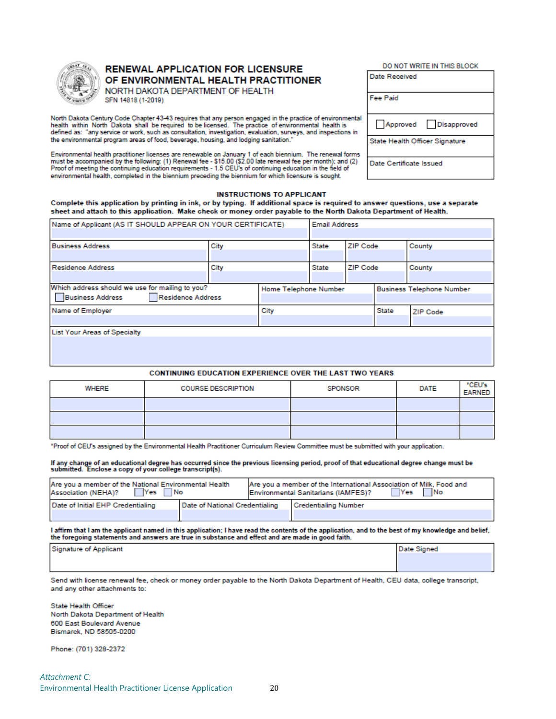

#### **RENEWAL APPLICATION FOR LICENSURE** OF ENVIRONMENTAL HEALTH PRACTITIONER

NORTH DAKOTA DEPARTMENT OF HEALTH SFN 14818 (1-2019)

North Dakota Century Code Chapter 43-43 requires that any person engaged in the practice of environmental<br>health within North Dakota shall be required to be licensed. The practice of environmental health is defined as: "any service or work, such as consultation, investigation, evaluation, surveys, and inspections in the environmental program areas of food, beverage, housing, and lodging sanitation.

Environmental health practitioner licenses are renewable on January 1 of each biennium. The renewal forms<br>must be accompanied by the following: (1) Renewal fee - \$15.00 (\$2.00 late renewal fee per month); and (2)<br>Proof of environmental health, completed in the biennium preceding the biennium for which licensure is sought.

## Date Received Fee Paid Approved Disapproved State Health Officer Signature Date Certificate Issued

DO NOT WRITE IN THIS BLOCK

#### **INSTRUCTIONS TO APPLICANT**

Complete this application by printing in ink, or by typing. If additional space is required to answer questions, use a separate sheet and attach to this application. Make check or money order payable to the North Dakota Department of Health.

| Name of Applicant (AS IT SHOULD APPEAR ON YOUR CERTIFICATE) |      | <b>Email Address</b>  |       |                                  |          |        |
|-------------------------------------------------------------|------|-----------------------|-------|----------------------------------|----------|--------|
|                                                             |      |                       |       |                                  |          |        |
| <b>Business Address</b>                                     | City |                       | State | ZIP Code                         |          | County |
|                                                             |      |                       |       |                                  |          |        |
| <b>Residence Address</b>                                    | City |                       | State | ZIP Code                         |          | County |
|                                                             |      |                       |       |                                  |          |        |
| Which address should we use for mailing to you?             |      | Home Telephone Number |       | <b>Business Telephone Number</b> |          |        |
| Residence Address<br><b>Business Address</b>                |      |                       |       |                                  |          |        |
| Name of Employer                                            |      | City                  |       | State                            | ZIP Code |        |
|                                                             |      |                       |       |                                  |          |        |
| <b>List Your Areas of Specialty</b>                         |      |                       |       |                                  |          |        |
|                                                             |      |                       |       |                                  |          |        |
|                                                             |      |                       |       |                                  |          |        |
|                                                             |      |                       |       |                                  |          |        |

#### CONTINUING EDUCATION EXPERIENCE OVER THE LAST TWO YEARS

| WHERE | <b>COURSE DESCRIPTION</b> | SPONSOR | DATE | "CEU's<br><b>EARNED</b> |
|-------|---------------------------|---------|------|-------------------------|
|       |                           |         |      |                         |
|       |                           |         |      |                         |
|       |                           |         |      |                         |

\*Proof of CEU's assigned by the Environmental Health Practitioner Curriculum Review Committee must be submitted with your application.

| If any change of an educational degree has occurred since the previous licensing period, proof of that educational degree change must be<br>submitted. Enclose a copy of your college transcript(s). |  |  |
|------------------------------------------------------------------------------------------------------------------------------------------------------------------------------------------------------|--|--|
|                                                                                                                                                                                                      |  |  |

| Are you a member of the National Environmental Health<br>Yes <b>I</b><br><b>No</b><br><b>Association (NEHA)?</b> |                                | Are you a member of the International Association of Milk, Food and<br>Yes No<br>Environmental Sanitarians (IAMFES)? |
|------------------------------------------------------------------------------------------------------------------|--------------------------------|----------------------------------------------------------------------------------------------------------------------|
| Date of Initial EHP Credentialing                                                                                | Date of National Credentialing | Credentialing Number                                                                                                 |
|                                                                                                                  |                                |                                                                                                                      |

I affirm that I am the applicant named in this application; I have read the contents of the application, and to the best of my knowledge and belief, the foregoing statements and answers are true in substance and effect and are made in good faith.

| <b>Signature of Applicant</b> | Date Signed |
|-------------------------------|-------------|
|                               |             |
|                               |             |

Send with license renewal fee, check or money order payable to the North Dakota Department of Health, CEU data, college transcript, and any other attachments to:

State Health Officer North Dakota Department of Health 600 East Boulevard Avenue Bismarck, ND 58505-0200

Phone: (701) 328-2372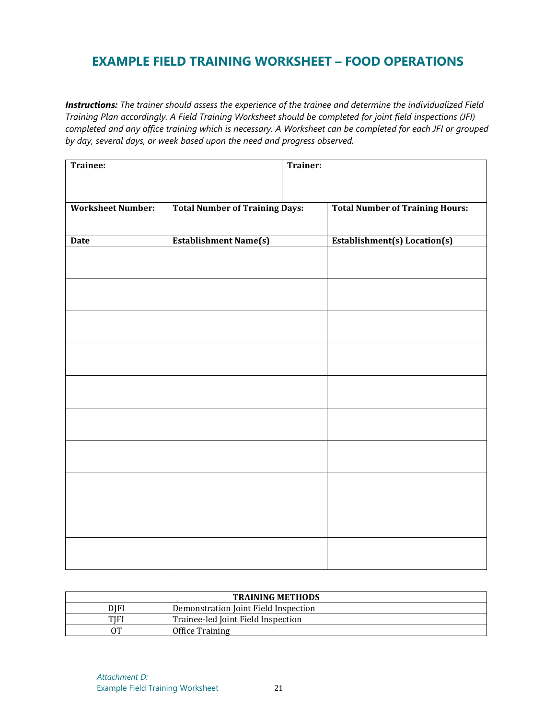### **EXAMPLE FIELD TRAINING WORKSHEET – FOOD OPERATIONS**

*Instructions: The trainer should assess the experience of the trainee and determine the individualized Field Training Plan accordingly. A Field Training Worksheet should be completed for joint field inspections (JFI) completed and any office training which is necessary. A Worksheet can be completed for each JFI or grouped by day, several days, or week based upon the need and progress observed.* 

| Trainee:                 |                                       | Trainer: |                                        |
|--------------------------|---------------------------------------|----------|----------------------------------------|
| <b>Worksheet Number:</b> | <b>Total Number of Training Days:</b> |          | <b>Total Number of Training Hours:</b> |
| <b>Date</b>              | <b>Establishment Name(s)</b>          |          | <b>Establishment(s)</b> Location(s)    |
|                          |                                       |          |                                        |
|                          |                                       |          |                                        |
|                          |                                       |          |                                        |
|                          |                                       |          |                                        |
|                          |                                       |          |                                        |
|                          |                                       |          |                                        |
|                          |                                       |          |                                        |
|                          |                                       |          |                                        |
|                          |                                       |          |                                        |
|                          |                                       |          |                                        |

| <b>TRAINING METHODS</b> |                                      |  |  |
|-------------------------|--------------------------------------|--|--|
| DIFI                    | Demonstration Joint Field Inspection |  |  |
| TIFI                    | Trainee-led Joint Field Inspection   |  |  |
| OТ                      | Office Training                      |  |  |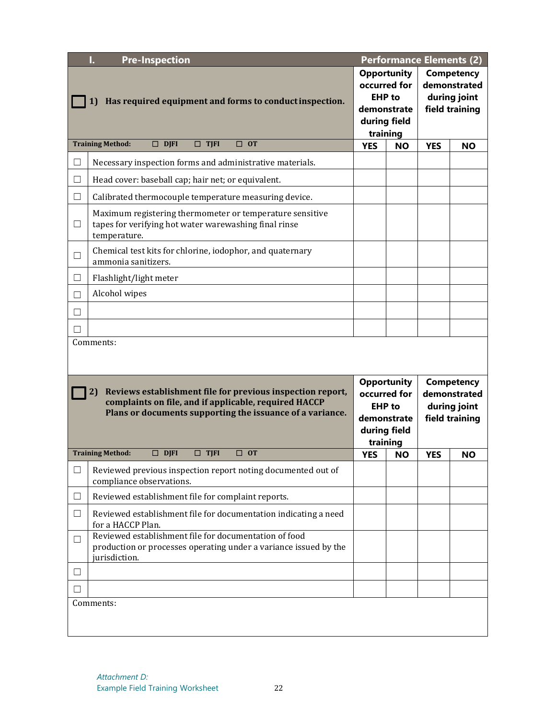| I.<br><b>Pre-Inspection</b>                                                                                                                                                            |                                                                                                                                            | <b>Performance Elements (2)</b>                                                                |                                                     |                                                                     |           |
|----------------------------------------------------------------------------------------------------------------------------------------------------------------------------------------|--------------------------------------------------------------------------------------------------------------------------------------------|------------------------------------------------------------------------------------------------|-----------------------------------------------------|---------------------------------------------------------------------|-----------|
|                                                                                                                                                                                        |                                                                                                                                            |                                                                                                | <b>Opportunity</b><br>occurred for<br><b>EHP</b> to | <b>Competency</b><br>demonstrated<br>during joint                   |           |
|                                                                                                                                                                                        | Has required equipment and forms to conduct inspection.<br>1)                                                                              |                                                                                                |                                                     | field training                                                      |           |
|                                                                                                                                                                                        | <b>Training Method:</b><br>$\Box$ DJFI<br>$\Box$ TJFI<br>$\Box$ OT                                                                         | training<br><b>YES</b>                                                                         | <b>NO</b>                                           | <b>YES</b>                                                          | <b>NO</b> |
| $\Box$                                                                                                                                                                                 | Necessary inspection forms and administrative materials.                                                                                   |                                                                                                |                                                     |                                                                     |           |
| $\Box$                                                                                                                                                                                 | Head cover: baseball cap; hair net; or equivalent.                                                                                         |                                                                                                |                                                     |                                                                     |           |
| □                                                                                                                                                                                      | Calibrated thermocouple temperature measuring device.                                                                                      |                                                                                                |                                                     |                                                                     |           |
| $\Box$                                                                                                                                                                                 | Maximum registering thermometer or temperature sensitive<br>tapes for verifying hot water warewashing final rinse<br>temperature.          |                                                                                                |                                                     |                                                                     |           |
| $\Box$                                                                                                                                                                                 | Chemical test kits for chlorine, iodophor, and quaternary<br>ammonia sanitizers.                                                           |                                                                                                |                                                     |                                                                     |           |
| □                                                                                                                                                                                      | Flashlight/light meter                                                                                                                     |                                                                                                |                                                     |                                                                     |           |
| $\Box$                                                                                                                                                                                 | Alcohol wipes                                                                                                                              |                                                                                                |                                                     |                                                                     |           |
| $\Box$                                                                                                                                                                                 |                                                                                                                                            |                                                                                                |                                                     |                                                                     |           |
| $\Box$                                                                                                                                                                                 |                                                                                                                                            |                                                                                                |                                                     |                                                                     |           |
|                                                                                                                                                                                        | Comments:                                                                                                                                  |                                                                                                |                                                     |                                                                     |           |
| Reviews establishment file for previous inspection report,<br>2)<br>complaints on file, and if applicable, required HACCP<br>Plans or documents supporting the issuance of a variance. |                                                                                                                                            | <b>Opportunity</b><br>occurred for<br><b>EHP</b> to<br>demonstrate<br>during field<br>training |                                                     | <b>Competency</b><br>demonstrated<br>during joint<br>field training |           |
|                                                                                                                                                                                        | $\Box$ DJFI<br>$\Box$ TJFI<br>$\Box$ OT<br><b>Training Method:</b>                                                                         | <b>YES</b>                                                                                     | <b>NO</b>                                           | <b>YES</b>                                                          | <b>NO</b> |
| $\Box$                                                                                                                                                                                 | Reviewed previous inspection report noting documented out of<br>compliance observations.                                                   |                                                                                                |                                                     |                                                                     |           |
| $\Box$                                                                                                                                                                                 | Reviewed establishment file for complaint reports.                                                                                         |                                                                                                |                                                     |                                                                     |           |
| $\Box$                                                                                                                                                                                 | Reviewed establishment file for documentation indicating a need<br>for a HACCP Plan.                                                       |                                                                                                |                                                     |                                                                     |           |
| $\Box$                                                                                                                                                                                 | Reviewed establishment file for documentation of food<br>production or processes operating under a variance issued by the<br>jurisdiction. |                                                                                                |                                                     |                                                                     |           |
| Ш                                                                                                                                                                                      |                                                                                                                                            |                                                                                                |                                                     |                                                                     |           |
| $\mathbf{I}$                                                                                                                                                                           |                                                                                                                                            |                                                                                                |                                                     |                                                                     |           |
|                                                                                                                                                                                        | Comments:                                                                                                                                  |                                                                                                |                                                     |                                                                     |           |
|                                                                                                                                                                                        |                                                                                                                                            |                                                                                                |                                                     |                                                                     |           |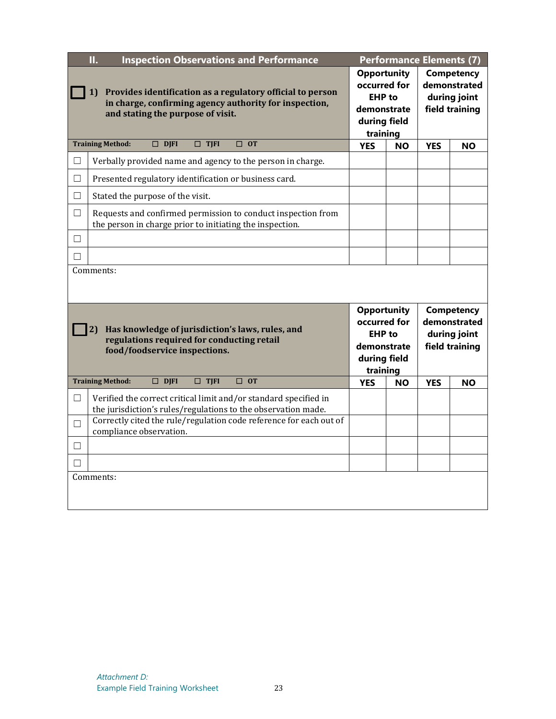|        | Π.<br><b>Inspection Observations and Performance</b>                                                                                                                                                    | <b>Performance Elements (7)</b>                                                                |                                                                                                |            |                                                              |
|--------|---------------------------------------------------------------------------------------------------------------------------------------------------------------------------------------------------------|------------------------------------------------------------------------------------------------|------------------------------------------------------------------------------------------------|------------|--------------------------------------------------------------|
|        | Provides identification as a regulatory official to person<br>1)<br>in charge, confirming agency authority for inspection,<br>and stating the purpose of visit.                                         | <b>Opportunity</b><br>occurred for<br><b>EHP</b> to<br>demonstrate<br>during field<br>training |                                                                                                |            | Competency<br>demonstrated<br>during joint<br>field training |
|        | <b>Training Method:</b><br>$\Box$ DJFI<br>$\Box$ OT<br>$\Box$ TJFI                                                                                                                                      | <b>YES</b>                                                                                     | <b>NO</b>                                                                                      | <b>YES</b> | <b>NO</b>                                                    |
| $\Box$ | Verbally provided name and agency to the person in charge.                                                                                                                                              |                                                                                                |                                                                                                |            |                                                              |
| $\Box$ | Presented regulatory identification or business card.                                                                                                                                                   |                                                                                                |                                                                                                |            |                                                              |
| $\Box$ | Stated the purpose of the visit.                                                                                                                                                                        |                                                                                                |                                                                                                |            |                                                              |
| $\Box$ | Requests and confirmed permission to conduct inspection from<br>the person in charge prior to initiating the inspection.                                                                                |                                                                                                |                                                                                                |            |                                                              |
| $\Box$ |                                                                                                                                                                                                         |                                                                                                |                                                                                                |            |                                                              |
| П      |                                                                                                                                                                                                         |                                                                                                |                                                                                                |            |                                                              |
|        | Comments:                                                                                                                                                                                               |                                                                                                |                                                                                                |            |                                                              |
|        | Has knowledge of jurisdiction's laws, rules, and<br>2)<br>regulations required for conducting retail<br>food/foodservice inspections.                                                                   |                                                                                                | <b>Opportunity</b><br>occurred for<br><b>EHP</b> to<br>demonstrate<br>during field<br>training |            | Competency<br>demonstrated<br>during joint<br>field training |
|        | $\Box$ DJFI<br>$\Box$ TJFI<br>$\Box$ OT<br><b>Training Method:</b>                                                                                                                                      | <b>YES</b>                                                                                     | <b>NO</b>                                                                                      | <b>YES</b> | <b>NO</b>                                                    |
| $\Box$ | Verified the correct critical limit and/or standard specified in<br>the jurisdiction's rules/regulations to the observation made.<br>Correctly cited the rule/regulation code reference for each out of |                                                                                                |                                                                                                |            |                                                              |
| $\Box$ | compliance observation.                                                                                                                                                                                 |                                                                                                |                                                                                                |            |                                                              |
| $\Box$ |                                                                                                                                                                                                         |                                                                                                |                                                                                                |            |                                                              |
| П      |                                                                                                                                                                                                         |                                                                                                |                                                                                                |            |                                                              |
|        | Comments:                                                                                                                                                                                               |                                                                                                |                                                                                                |            |                                                              |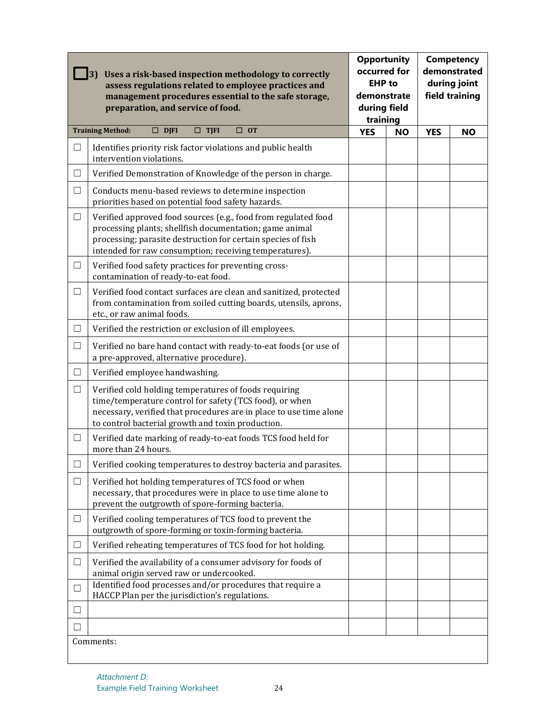|        | <b>Opportunity</b><br>occurred for<br>Uses a risk-based inspection methodology to correctly<br><b>EHP</b> to<br>assess regulations related to employee practices and<br>demonstrate<br>management procedures essential to the safe storage,<br>preparation, and service of food.<br>during field<br>training |            | <b>Competency</b><br>demonstrated<br>during joint<br>field training |            |           |
|--------|--------------------------------------------------------------------------------------------------------------------------------------------------------------------------------------------------------------------------------------------------------------------------------------------------------------|------------|---------------------------------------------------------------------|------------|-----------|
|        | <b>Training Method:</b><br>$\Box$ OT<br>$\square$ DJFI<br>$\square$ TJFI                                                                                                                                                                                                                                     | <b>YES</b> | <b>NO</b>                                                           | <b>YES</b> | <b>NO</b> |
| $\Box$ | Identifies priority risk factor violations and public health<br>intervention violations.                                                                                                                                                                                                                     |            |                                                                     |            |           |
| □      | Verified Demonstration of Knowledge of the person in charge.                                                                                                                                                                                                                                                 |            |                                                                     |            |           |
| $\Box$ | Conducts menu-based reviews to determine inspection<br>priorities based on potential food safety hazards.                                                                                                                                                                                                    |            |                                                                     |            |           |
| $\Box$ | Verified approved food sources (e.g., food from regulated food<br>processing plants; shellfish documentation; game animal<br>processing; parasite destruction for certain species of fish<br>intended for raw consumption; receiving temperatures).                                                          |            |                                                                     |            |           |
| $\Box$ | Verified food safety practices for preventing cross-<br>contamination of ready-to-eat food.                                                                                                                                                                                                                  |            |                                                                     |            |           |
| $\Box$ | Verified food contact surfaces are clean and sanitized, protected<br>from contamination from soiled cutting boards, utensils, aprons,<br>etc., or raw animal foods.                                                                                                                                          |            |                                                                     |            |           |
| □      | Verified the restriction or exclusion of ill employees.                                                                                                                                                                                                                                                      |            |                                                                     |            |           |
| $\Box$ | Verified no bare hand contact with ready-to-eat foods (or use of<br>a pre-approved, alternative procedure).                                                                                                                                                                                                  |            |                                                                     |            |           |
| $\Box$ | Verified employee handwashing.                                                                                                                                                                                                                                                                               |            |                                                                     |            |           |
| $\Box$ | Verified cold holding temperatures of foods requiring<br>time/temperature control for safety (TCS food), or when<br>necessary, verified that procedures are in place to use time alone<br>to control bacterial growth and toxin production.                                                                  |            |                                                                     |            |           |
| □      | Verified date marking of ready-to-eat foods TCS food held for<br>more than 24 hours.                                                                                                                                                                                                                         |            |                                                                     |            |           |
| ⊔      | Verified cooking temperatures to destroy bacteria and parasites.                                                                                                                                                                                                                                             |            |                                                                     |            |           |
| $\Box$ | Verified hot holding temperatures of TCS food or when<br>necessary, that procedures were in place to use time alone to<br>prevent the outgrowth of spore-forming bacteria.                                                                                                                                   |            |                                                                     |            |           |
| $\Box$ | Verified cooling temperatures of TCS food to prevent the<br>outgrowth of spore-forming or toxin-forming bacteria.                                                                                                                                                                                            |            |                                                                     |            |           |
| $\Box$ | Verified reheating temperatures of TCS food for hot holding.                                                                                                                                                                                                                                                 |            |                                                                     |            |           |
| $\Box$ | Verified the availability of a consumer advisory for foods of<br>animal origin served raw or undercooked.                                                                                                                                                                                                    |            |                                                                     |            |           |
| $\Box$ | Identified food processes and/or procedures that require a<br>HACCP Plan per the jurisdiction's regulations.                                                                                                                                                                                                 |            |                                                                     |            |           |
| $\Box$ |                                                                                                                                                                                                                                                                                                              |            |                                                                     |            |           |
| $\Box$ |                                                                                                                                                                                                                                                                                                              |            |                                                                     |            |           |
|        | Comments:                                                                                                                                                                                                                                                                                                    |            |                                                                     |            |           |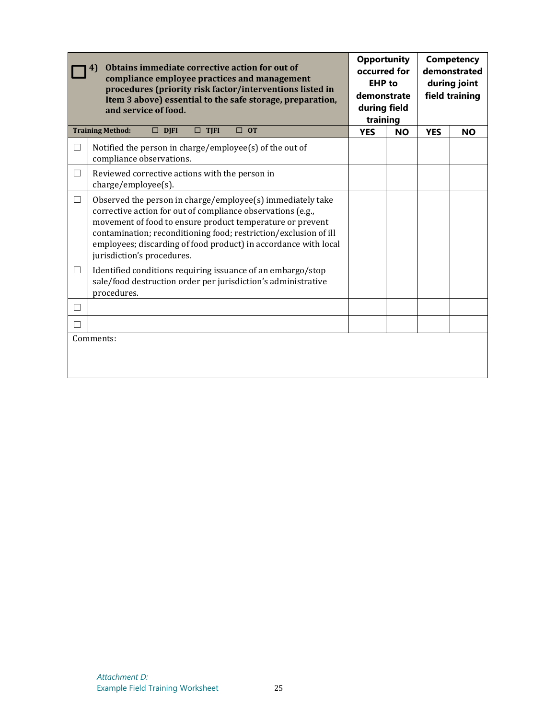|        | Obtains immediate corrective action for out of<br>4)<br>compliance employee practices and management<br>procedures (priority risk factor/interventions listed in<br>Item 3 above) essential to the safe storage, preparation,<br>and service of food.                                                                                                       | <b>Opportunity</b><br>occurred for<br><b>EHP</b> to<br>demonstrate<br>during field<br>training |           |            | <b>Competency</b><br>demonstrated<br>during joint<br>field training |
|--------|-------------------------------------------------------------------------------------------------------------------------------------------------------------------------------------------------------------------------------------------------------------------------------------------------------------------------------------------------------------|------------------------------------------------------------------------------------------------|-----------|------------|---------------------------------------------------------------------|
|        | <b>Training Method:</b><br>$\Box$ TJFI<br>$\Box$ OT<br>$\Box$ DJFI                                                                                                                                                                                                                                                                                          | <b>YES</b>                                                                                     | <b>NO</b> | <b>YES</b> | <b>NO</b>                                                           |
| $\Box$ | Notified the person in charge/employee(s) of the out of<br>compliance observations.                                                                                                                                                                                                                                                                         |                                                                                                |           |            |                                                                     |
| $\Box$ | Reviewed corrective actions with the person in<br>charge/employee(s).                                                                                                                                                                                                                                                                                       |                                                                                                |           |            |                                                                     |
| $\Box$ | Observed the person in charge/employee(s) immediately take<br>corrective action for out of compliance observations (e.g.,<br>movement of food to ensure product temperature or prevent<br>contamination; reconditioning food; restriction/exclusion of ill<br>employees; discarding of food product) in accordance with local<br>jurisdiction's procedures. |                                                                                                |           |            |                                                                     |
| $\Box$ | Identified conditions requiring issuance of an embargo/stop<br>sale/food destruction order per jurisdiction's administrative<br>procedures.                                                                                                                                                                                                                 |                                                                                                |           |            |                                                                     |
| П      |                                                                                                                                                                                                                                                                                                                                                             |                                                                                                |           |            |                                                                     |
| П      |                                                                                                                                                                                                                                                                                                                                                             |                                                                                                |           |            |                                                                     |
|        | Comments:                                                                                                                                                                                                                                                                                                                                                   |                                                                                                |           |            |                                                                     |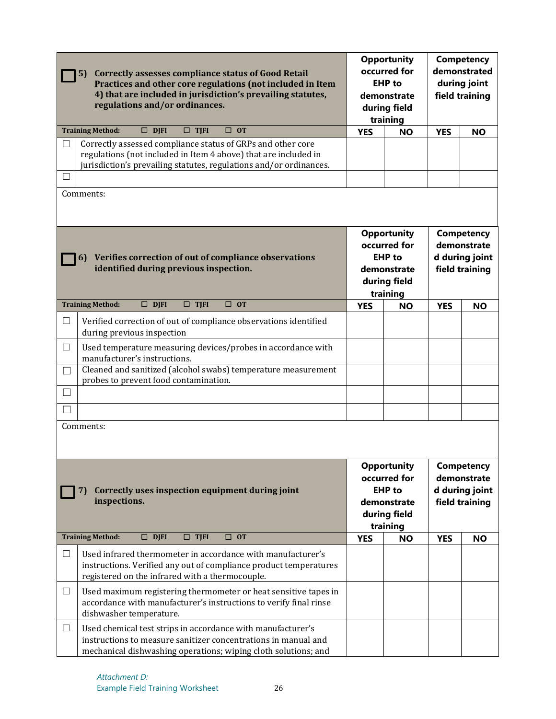| <b>Correctly assesses compliance status of Good Retail</b><br>5)<br>Practices and other core regulations (not included in Item<br>4) that are included in jurisdiction's prevailing statutes,<br>regulations and/or ordinances.                                                                                         | <b>Opportunity</b><br>occurred for<br><b>EHP</b> to<br>demonstrate<br>during field<br>training |                             | Competency<br>demonstrated<br>during joint<br>field training |                |  |                                                               |
|-------------------------------------------------------------------------------------------------------------------------------------------------------------------------------------------------------------------------------------------------------------------------------------------------------------------------|------------------------------------------------------------------------------------------------|-----------------------------|--------------------------------------------------------------|----------------|--|---------------------------------------------------------------|
| $\Box$ OT<br><b>Training Method:</b><br>$\Box$ DJFI<br>$\square$ TJFI                                                                                                                                                                                                                                                   | <b>YES</b>                                                                                     | <b>NO</b>                   | <b>YES</b>                                                   | <b>NO</b>      |  |                                                               |
| Correctly assessed compliance status of GRPs and other core<br>⊔<br>regulations (not included in Item 4 above) that are included in<br>jurisdiction's prevailing statutes, regulations and/or ordinances.<br>$\Box$                                                                                                     |                                                                                                |                             |                                                              |                |  |                                                               |
| Comments:                                                                                                                                                                                                                                                                                                               |                                                                                                |                             |                                                              |                |  |                                                               |
| 6) Verifies correction of out of compliance observations<br>identified during previous inspection.                                                                                                                                                                                                                      | <b>Opportunity</b><br>occurred for<br><b>EHP</b> to<br>demonstrate<br>during field<br>training |                             |                                                              |                |  | Competency<br>demonstrate<br>d during joint<br>field training |
| $\square$ DJFI<br><b>Training Method:</b><br>$\Box$ TJFI<br>$\square$ OT                                                                                                                                                                                                                                                | <b>YES</b>                                                                                     | <b>NO</b>                   | <b>YES</b>                                                   | <b>NO</b>      |  |                                                               |
| Verified correction of out of compliance observations identified<br>⊔<br>during previous inspection<br>□<br>Used temperature measuring devices/probes in accordance with<br>manufacturer's instructions.<br>Cleaned and sanitized (alcohol swabs) temperature measurement<br>П<br>probes to prevent food contamination. |                                                                                                |                             |                                                              |                |  |                                                               |
| П                                                                                                                                                                                                                                                                                                                       |                                                                                                |                             |                                                              |                |  |                                                               |
|                                                                                                                                                                                                                                                                                                                         |                                                                                                |                             |                                                              |                |  |                                                               |
| Comments:<br><b>Opportunity</b><br>Competency<br>occurred for<br>demonstrate<br><b>EHP</b> to<br>d during joint<br>Correctly uses inspection equipment during joint<br>7)                                                                                                                                               |                                                                                                |                             |                                                              |                |  |                                                               |
| inspections.                                                                                                                                                                                                                                                                                                            |                                                                                                | demonstrate<br>during field |                                                              | field training |  |                                                               |
| <b>Training Method:</b><br>$\Box$ TJFI<br>$\Box$ OT<br>$\Box$ DJFI                                                                                                                                                                                                                                                      | <b>YES</b>                                                                                     | training<br><b>NO</b>       | <b>YES</b>                                                   | <b>NO</b>      |  |                                                               |
| $\Box$<br>Used infrared thermometer in accordance with manufacturer's<br>instructions. Verified any out of compliance product temperatures<br>registered on the infrared with a thermocouple.                                                                                                                           |                                                                                                |                             |                                                              |                |  |                                                               |
| $\Box$<br>Used maximum registering thermometer or heat sensitive tapes in<br>accordance with manufacturer's instructions to verify final rinse<br>dishwasher temperature.                                                                                                                                               |                                                                                                |                             |                                                              |                |  |                                                               |
| Used chemical test strips in accordance with manufacturer's<br>$\Box$<br>instructions to measure sanitizer concentrations in manual and<br>mechanical dishwashing operations; wiping cloth solutions; and                                                                                                               |                                                                                                |                             |                                                              |                |  |                                                               |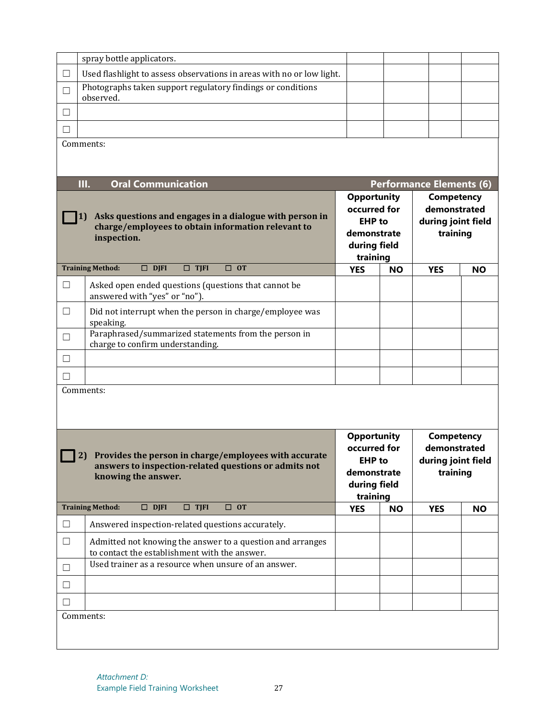|                                                                                                                              | spray bottle applicators.                                                                                                                 |                                                                    |           |                                                                                     |           |  |
|------------------------------------------------------------------------------------------------------------------------------|-------------------------------------------------------------------------------------------------------------------------------------------|--------------------------------------------------------------------|-----------|-------------------------------------------------------------------------------------|-----------|--|
| $\Box$                                                                                                                       | Used flashlight to assess observations in areas with no or low light.                                                                     |                                                                    |           |                                                                                     |           |  |
| □                                                                                                                            | Photographs taken support regulatory findings or conditions<br>observed.                                                                  |                                                                    |           |                                                                                     |           |  |
| $\Box$                                                                                                                       |                                                                                                                                           |                                                                    |           |                                                                                     |           |  |
| $\Box$                                                                                                                       |                                                                                                                                           |                                                                    |           |                                                                                     |           |  |
|                                                                                                                              | Comments:                                                                                                                                 |                                                                    |           |                                                                                     |           |  |
|                                                                                                                              |                                                                                                                                           |                                                                    |           |                                                                                     |           |  |
|                                                                                                                              | Ш.<br><b>Oral Communication</b>                                                                                                           |                                                                    |           | <b>Performance Elements (6)</b>                                                     |           |  |
| Asks questions and engages in a dialogue with person in<br>charge/employees to obtain information relevant to<br>inspection. |                                                                                                                                           | <b>Opportunity</b><br>occurred for<br><b>EHP</b> to<br>demonstrate |           | <b>Competency</b><br>demonstrated<br>during joint field<br>training                 |           |  |
|                                                                                                                              |                                                                                                                                           | during field                                                       |           |                                                                                     |           |  |
|                                                                                                                              | <b>Training Method:</b><br>$\Box$ DJFI<br>$\Box$ TJFI<br>$\Box$ OT                                                                        | training<br><b>YES</b>                                             | <b>NO</b> | <b>YES</b>                                                                          | <b>NO</b> |  |
| $\Box$                                                                                                                       | Asked open ended questions (questions that cannot be<br>answered with "yes" or "no").                                                     |                                                                    |           |                                                                                     |           |  |
| $\Box$                                                                                                                       | Did not interrupt when the person in charge/employee was<br>speaking.                                                                     |                                                                    |           |                                                                                     |           |  |
| $\Box$                                                                                                                       | Paraphrased/summarized statements from the person in<br>charge to confirm understanding.                                                  |                                                                    |           |                                                                                     |           |  |
| $\Box$                                                                                                                       |                                                                                                                                           |                                                                    |           |                                                                                     |           |  |
| $\Box$                                                                                                                       |                                                                                                                                           |                                                                    |           |                                                                                     |           |  |
|                                                                                                                              | Comments:                                                                                                                                 |                                                                    |           |                                                                                     |           |  |
|                                                                                                                              |                                                                                                                                           |                                                                    |           |                                                                                     |           |  |
|                                                                                                                              | [2] Provides the person in charge/employees with accurate<br>answers to inspection-related questions or admits not<br>knowing the answer. | <b>Opportunity</b><br>occurred for<br><b>EHP</b> to<br>demonstrate |           | <b>Competency</b><br>demonstrated<br>during joint field<br>training<br>during field |           |  |
|                                                                                                                              |                                                                                                                                           | training                                                           |           |                                                                                     |           |  |
|                                                                                                                              | <b>Training Method:</b><br>$\square$ DJFI<br>$\Box$ TJFI<br>$\Box$ OT                                                                     | <b>YES</b>                                                         | <b>NO</b> | <b>YES</b>                                                                          | <b>NO</b> |  |
| $\Box$                                                                                                                       | Answered inspection-related questions accurately.                                                                                         |                                                                    |           |                                                                                     |           |  |
| $\Box$                                                                                                                       | Admitted not knowing the answer to a question and arranges<br>to contact the establishment with the answer.                               |                                                                    |           |                                                                                     |           |  |
| $\Box$                                                                                                                       | Used trainer as a resource when unsure of an answer.                                                                                      |                                                                    |           |                                                                                     |           |  |
| $\Box$                                                                                                                       |                                                                                                                                           |                                                                    |           |                                                                                     |           |  |
| $\Box$                                                                                                                       |                                                                                                                                           |                                                                    |           |                                                                                     |           |  |
|                                                                                                                              | Comments:                                                                                                                                 |                                                                    |           |                                                                                     |           |  |
|                                                                                                                              |                                                                                                                                           |                                                                    |           |                                                                                     |           |  |
|                                                                                                                              |                                                                                                                                           |                                                                    |           |                                                                                     |           |  |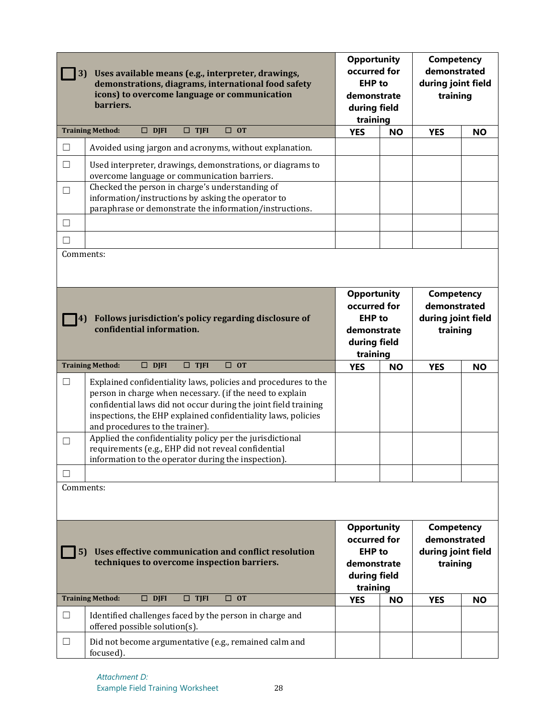| 3)                                      | Uses available means (e.g., interpreter, drawings,<br>demonstrations, diagrams, international food safety<br>icons) to overcome language or communication<br>barriers.                                                                                                                                                                                                                                                                                                       | <b>Opportunity</b><br>occurred for<br><b>EHP</b> to<br>demonstrate<br>during field<br>training                                                                        |           | <b>Competency</b><br>demonstrated<br>during joint field<br>training |           |                                                                     |  |
|-----------------------------------------|------------------------------------------------------------------------------------------------------------------------------------------------------------------------------------------------------------------------------------------------------------------------------------------------------------------------------------------------------------------------------------------------------------------------------------------------------------------------------|-----------------------------------------------------------------------------------------------------------------------------------------------------------------------|-----------|---------------------------------------------------------------------|-----------|---------------------------------------------------------------------|--|
|                                         | $\Box$ DJFI<br>$\Box$ TJFI<br><b>Training Method:</b><br>$\Box$ OT                                                                                                                                                                                                                                                                                                                                                                                                           | <b>YES</b>                                                                                                                                                            | <b>NO</b> | <b>YES</b>                                                          | <b>NO</b> |                                                                     |  |
| $\Box$                                  | Avoided using jargon and acronyms, without explanation.                                                                                                                                                                                                                                                                                                                                                                                                                      |                                                                                                                                                                       |           |                                                                     |           |                                                                     |  |
| $\Box$                                  | Used interpreter, drawings, demonstrations, or diagrams to<br>overcome language or communication barriers.                                                                                                                                                                                                                                                                                                                                                                   |                                                                                                                                                                       |           |                                                                     |           |                                                                     |  |
| $\Box$                                  | Checked the person in charge's understanding of<br>information/instructions by asking the operator to<br>paraphrase or demonstrate the information/instructions.                                                                                                                                                                                                                                                                                                             |                                                                                                                                                                       |           |                                                                     |           |                                                                     |  |
| $\Box$                                  |                                                                                                                                                                                                                                                                                                                                                                                                                                                                              |                                                                                                                                                                       |           |                                                                     |           |                                                                     |  |
| П                                       |                                                                                                                                                                                                                                                                                                                                                                                                                                                                              |                                                                                                                                                                       |           |                                                                     |           |                                                                     |  |
| Comments:                               | Follows jurisdiction's policy regarding disclosure of<br>confidential information.                                                                                                                                                                                                                                                                                                                                                                                           | <b>Opportunity</b><br>occurred for<br><b>EHP</b> to<br>demonstrate<br>during field                                                                                    |           |                                                                     |           | <b>Competency</b><br>demonstrated<br>during joint field<br>training |  |
|                                         | $\Box$ DJFI<br>$\Box$ TJFI<br>$\Box$ OT<br><b>Training Method:</b>                                                                                                                                                                                                                                                                                                                                                                                                           | training<br><b>YES</b>                                                                                                                                                | <b>NO</b> | <b>YES</b>                                                          | <b>NO</b> |                                                                     |  |
| $\Box$<br>$\Box$<br>$\Box$<br>Comments: | Explained confidentiality laws, policies and procedures to the<br>person in charge when necessary. (if the need to explain<br>confidential laws did not occur during the joint field training<br>inspections, the EHP explained confidentiality laws, policies<br>and procedures to the trainer).<br>Applied the confidentiality policy per the jurisdictional<br>requirements (e.g., EHP did not reveal confidential<br>information to the operator during the inspection). |                                                                                                                                                                       |           |                                                                     |           |                                                                     |  |
|                                         |                                                                                                                                                                                                                                                                                                                                                                                                                                                                              |                                                                                                                                                                       |           |                                                                     |           |                                                                     |  |
| 5)                                      | Uses effective communication and conflict resolution<br>techniques to overcome inspection barriers.                                                                                                                                                                                                                                                                                                                                                                          | <b>Opportunity</b><br><b>Competency</b><br>occurred for<br>demonstrated<br><b>EHP</b> to<br>during joint field<br>training<br>demonstrate<br>during field<br>training |           |                                                                     |           |                                                                     |  |
|                                         | $\Box$ TJFI<br>$\Box$ OT<br><b>Training Method:</b><br>$\Box$ DJFI                                                                                                                                                                                                                                                                                                                                                                                                           | <b>YES</b>                                                                                                                                                            | <b>NO</b> | <b>YES</b>                                                          | <b>NO</b> |                                                                     |  |
| $\Box$                                  | Identified challenges faced by the person in charge and<br>offered possible solution(s).                                                                                                                                                                                                                                                                                                                                                                                     |                                                                                                                                                                       |           |                                                                     |           |                                                                     |  |
| $\Box$                                  | Did not become argumentative (e.g., remained calm and<br>focused).                                                                                                                                                                                                                                                                                                                                                                                                           |                                                                                                                                                                       |           |                                                                     |           |                                                                     |  |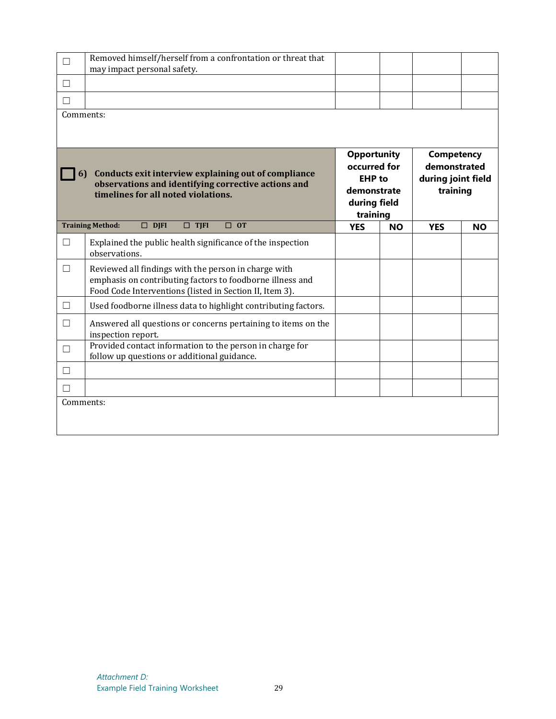| □                                                                                                                                                       | Removed himself/herself from a confrontation or threat that<br>may impact personal safety.                                                                                   |                                                                                                |           |                                                                     |           |
|---------------------------------------------------------------------------------------------------------------------------------------------------------|------------------------------------------------------------------------------------------------------------------------------------------------------------------------------|------------------------------------------------------------------------------------------------|-----------|---------------------------------------------------------------------|-----------|
| П                                                                                                                                                       |                                                                                                                                                                              |                                                                                                |           |                                                                     |           |
| П                                                                                                                                                       |                                                                                                                                                                              |                                                                                                |           |                                                                     |           |
| Comments:                                                                                                                                               |                                                                                                                                                                              |                                                                                                |           |                                                                     |           |
|                                                                                                                                                         |                                                                                                                                                                              |                                                                                                |           |                                                                     |           |
| Conducts exit interview explaining out of compliance<br>6<br>observations and identifying corrective actions and<br>timelines for all noted violations. |                                                                                                                                                                              | <b>Opportunity</b><br>occurred for<br><b>EHP</b> to<br>demonstrate<br>during field<br>training |           | <b>Competency</b><br>demonstrated<br>during joint field<br>training |           |
|                                                                                                                                                         | <b>Training Method:</b><br>$\square$ DJFI<br>$\Box$ TJFI<br>$\Box$ OT                                                                                                        | <b>YES</b>                                                                                     | <b>NO</b> | <b>YES</b>                                                          | <b>NO</b> |
| $\Box$                                                                                                                                                  | Explained the public health significance of the inspection<br>observations.                                                                                                  |                                                                                                |           |                                                                     |           |
| $\Box$                                                                                                                                                  | Reviewed all findings with the person in charge with<br>emphasis on contributing factors to foodborne illness and<br>Food Code Interventions (listed in Section II, Item 3). |                                                                                                |           |                                                                     |           |
| □                                                                                                                                                       | Used foodborne illness data to highlight contributing factors.                                                                                                               |                                                                                                |           |                                                                     |           |
| $\Box$                                                                                                                                                  | Answered all questions or concerns pertaining to items on the<br>inspection report.                                                                                          |                                                                                                |           |                                                                     |           |
| П                                                                                                                                                       | Provided contact information to the person in charge for<br>follow up questions or additional guidance.                                                                      |                                                                                                |           |                                                                     |           |
| П                                                                                                                                                       |                                                                                                                                                                              |                                                                                                |           |                                                                     |           |
| П                                                                                                                                                       |                                                                                                                                                                              |                                                                                                |           |                                                                     |           |
| Comments:                                                                                                                                               |                                                                                                                                                                              |                                                                                                |           |                                                                     |           |
|                                                                                                                                                         |                                                                                                                                                                              |                                                                                                |           |                                                                     |           |
|                                                                                                                                                         |                                                                                                                                                                              |                                                                                                |           |                                                                     |           |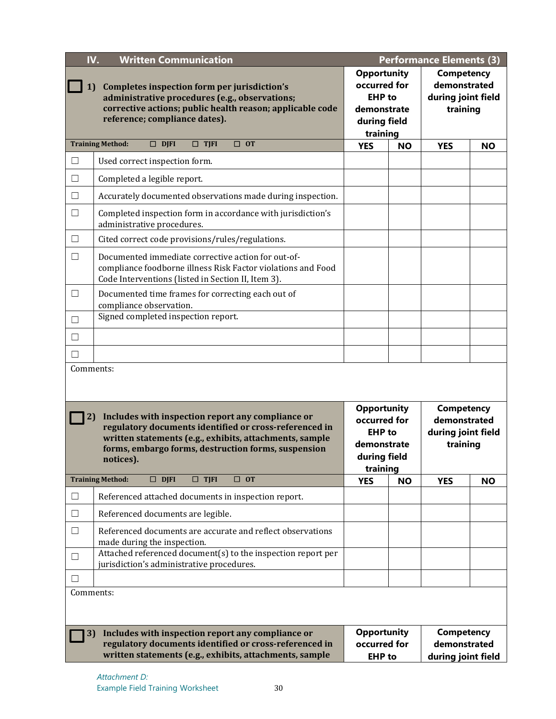| IV.<br><b>Written Communication</b><br><b>Performance Elements (3)</b> |                                                                                                                                                                                                                                            |                                                                                                |           |                                                                                 |           |
|------------------------------------------------------------------------|--------------------------------------------------------------------------------------------------------------------------------------------------------------------------------------------------------------------------------------------|------------------------------------------------------------------------------------------------|-----------|---------------------------------------------------------------------------------|-----------|
| 1)                                                                     | Completes inspection form per jurisdiction's<br>administrative procedures (e.g., observations;<br>corrective actions; public health reason; applicable code<br>reference; compliance dates).                                               | <b>Opportunity</b><br>occurred for<br><b>EHP</b> to<br>demonstrate<br>during field<br>training |           | <b>Competency</b><br>demonstrated<br>during joint field<br>training             |           |
|                                                                        | $\Box$ OT<br><b>Training Method:</b><br>$\Box$ DJFI<br>$\square$ TJFI                                                                                                                                                                      | <b>YES</b>                                                                                     | <b>NO</b> | <b>YES</b>                                                                      | <b>NO</b> |
| $\Box$                                                                 | Used correct inspection form.                                                                                                                                                                                                              |                                                                                                |           |                                                                                 |           |
| □                                                                      | Completed a legible report.                                                                                                                                                                                                                |                                                                                                |           |                                                                                 |           |
| □                                                                      | Accurately documented observations made during inspection.                                                                                                                                                                                 |                                                                                                |           |                                                                                 |           |
| $\Box$                                                                 | Completed inspection form in accordance with jurisdiction's<br>administrative procedures.                                                                                                                                                  |                                                                                                |           |                                                                                 |           |
| $\Box$                                                                 | Cited correct code provisions/rules/regulations.                                                                                                                                                                                           |                                                                                                |           |                                                                                 |           |
| $\Box$                                                                 | Documented immediate corrective action for out-of-<br>compliance foodborne illness Risk Factor violations and Food<br>Code Interventions (listed in Section II, Item 3).                                                                   |                                                                                                |           |                                                                                 |           |
| □                                                                      | Documented time frames for correcting each out of<br>compliance observation.                                                                                                                                                               |                                                                                                |           |                                                                                 |           |
| П                                                                      | Signed completed inspection report.                                                                                                                                                                                                        |                                                                                                |           |                                                                                 |           |
| □                                                                      |                                                                                                                                                                                                                                            |                                                                                                |           |                                                                                 |           |
| □                                                                      |                                                                                                                                                                                                                                            |                                                                                                |           |                                                                                 |           |
| Comments:                                                              |                                                                                                                                                                                                                                            |                                                                                                |           |                                                                                 |           |
| 2)                                                                     | Includes with inspection report any compliance or<br>regulatory documents identified or cross-referenced in<br>written statements (e.g., exhibits, attachments, sample<br>forms, embargo forms, destruction forms, suspension<br>notices). | <b>Opportunity</b><br>occurred for<br><b>EHP</b> to<br>demonstrate<br>during field             |           | <b>Competency</b><br>demonstrated<br>during joint field<br>training<br>training |           |
|                                                                        | <b>Training Method:</b><br>$\square$ DJFI<br>$\square$ TJFI<br>$\Box$ OT                                                                                                                                                                   | <b>YES</b>                                                                                     | <b>NO</b> | <b>YES</b>                                                                      | <b>NO</b> |
| $\Box$                                                                 | Referenced attached documents in inspection report.                                                                                                                                                                                        |                                                                                                |           |                                                                                 |           |
| $\Box$                                                                 | Referenced documents are legible.                                                                                                                                                                                                          |                                                                                                |           |                                                                                 |           |
| □                                                                      | Referenced documents are accurate and reflect observations<br>made during the inspection.                                                                                                                                                  |                                                                                                |           |                                                                                 |           |
| $\Box$                                                                 | Attached referenced document(s) to the inspection report per<br>jurisdiction's administrative procedures.                                                                                                                                  |                                                                                                |           |                                                                                 |           |
| $\Box$                                                                 |                                                                                                                                                                                                                                            |                                                                                                |           |                                                                                 |           |
| Comments:                                                              |                                                                                                                                                                                                                                            |                                                                                                |           |                                                                                 |           |
| 3)                                                                     | Includes with inspection report any compliance or<br>regulatory documents identified or cross-referenced in<br>written statements (e.g., exhibits, attachments, sample                                                                     | <b>Opportunity</b><br>occurred for<br><b>EHP</b> to                                            |           | <b>Competency</b><br>demonstrated<br>during joint field                         |           |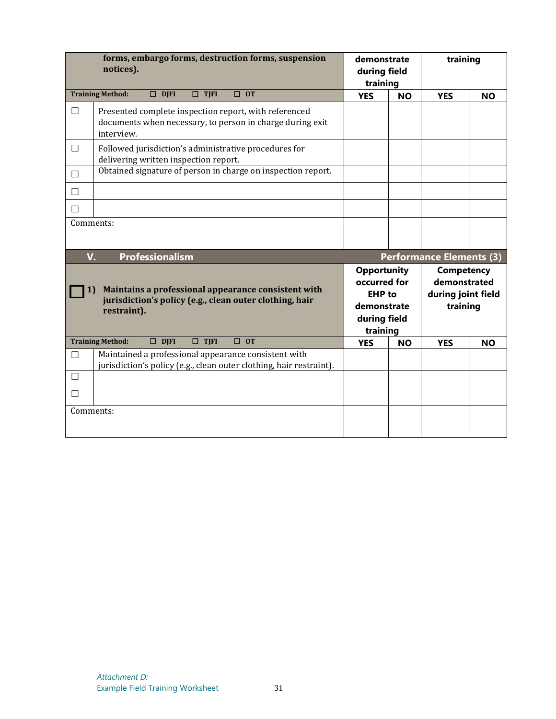|              | forms, embargo forms, destruction forms, suspension<br>notices).                                                                 | demonstrate<br>during field<br>training                                                        |           | training                                                     |           |
|--------------|----------------------------------------------------------------------------------------------------------------------------------|------------------------------------------------------------------------------------------------|-----------|--------------------------------------------------------------|-----------|
|              | <b>Training Method:</b><br>$\Box$ DJFI<br>$\Box$ TJFI<br>$\Box$ OT                                                               | <b>YES</b>                                                                                     | <b>NO</b> | <b>YES</b>                                                   | <b>NO</b> |
| □            | Presented complete inspection report, with referenced<br>documents when necessary, to person in charge during exit<br>interview. |                                                                                                |           |                                                              |           |
| □            | Followed jurisdiction's administrative procedures for<br>delivering written inspection report.                                   |                                                                                                |           |                                                              |           |
| $\Box$       | Obtained signature of person in charge on inspection report.                                                                     |                                                                                                |           |                                                              |           |
| П            |                                                                                                                                  |                                                                                                |           |                                                              |           |
| $\mathsf{L}$ |                                                                                                                                  |                                                                                                |           |                                                              |           |
| Comments:    |                                                                                                                                  |                                                                                                |           |                                                              |           |
| V.           | <b>Professionalism</b>                                                                                                           |                                                                                                |           | <b>Performance Elements (3)</b>                              |           |
| 1)           | Maintains a professional appearance consistent with<br>jurisdiction's policy (e.g., clean outer clothing, hair<br>restraint).    | <b>Opportunity</b><br>occurred for<br><b>EHP</b> to<br>demonstrate<br>during field<br>training |           | Competency<br>demonstrated<br>during joint field<br>training |           |
|              | <b>Training Method:</b><br>$\Box$ DJFI<br>$\Box$ TJFI<br>$\Box$ OT                                                               | <b>YES</b>                                                                                     | <b>NO</b> | <b>YES</b>                                                   | <b>NO</b> |
| П            | Maintained a professional appearance consistent with<br>jurisdiction's policy (e.g., clean outer clothing, hair restraint).      |                                                                                                |           |                                                              |           |
| П            |                                                                                                                                  |                                                                                                |           |                                                              |           |
|              |                                                                                                                                  |                                                                                                |           |                                                              |           |
| Comments:    |                                                                                                                                  |                                                                                                |           |                                                              |           |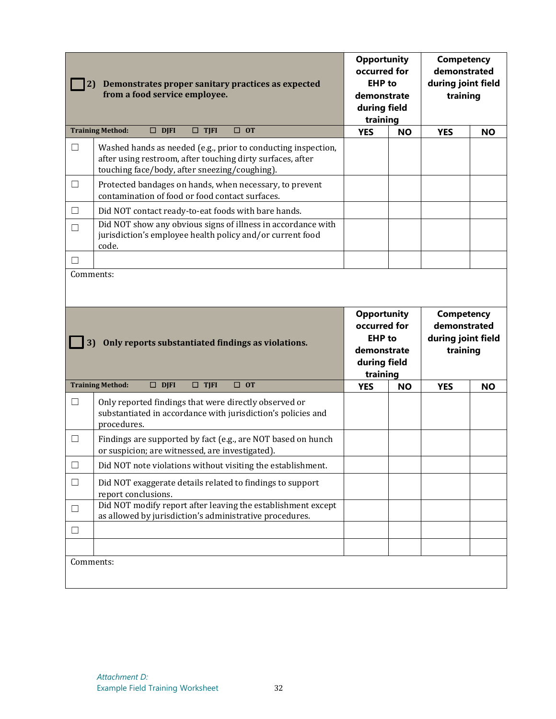| 2)        | Demonstrates proper sanitary practices as expected<br>from a food service employee.                                                                                          | <b>Opportunity</b><br>occurred for<br><b>EHP</b> to<br>demonstrate<br>during field<br>training |           | <b>Competency</b><br>demonstrated<br>during joint field<br>training             |           |
|-----------|------------------------------------------------------------------------------------------------------------------------------------------------------------------------------|------------------------------------------------------------------------------------------------|-----------|---------------------------------------------------------------------------------|-----------|
|           | $\Box$ OT<br><b>Training Method:</b><br>$\Box$ DJFI<br>$\Box$ TJFI                                                                                                           | <b>YES</b>                                                                                     | <b>NO</b> | <b>YES</b>                                                                      | <b>NO</b> |
| $\Box$    | Washed hands as needed (e.g., prior to conducting inspection,<br>after using restroom, after touching dirty surfaces, after<br>touching face/body, after sneezing/coughing). |                                                                                                |           |                                                                                 |           |
| □         | Protected bandages on hands, when necessary, to prevent<br>contamination of food or food contact surfaces.                                                                   |                                                                                                |           |                                                                                 |           |
| $\Box$    | Did NOT contact ready-to-eat foods with bare hands.                                                                                                                          |                                                                                                |           |                                                                                 |           |
| $\Box$    | Did NOT show any obvious signs of illness in accordance with<br>jurisdiction's employee health policy and/or current food<br>code.                                           |                                                                                                |           |                                                                                 |           |
| П         |                                                                                                                                                                              |                                                                                                |           |                                                                                 |           |
| Comments: |                                                                                                                                                                              |                                                                                                |           |                                                                                 |           |
| 3)        | Only reports substantiated findings as violations.                                                                                                                           | <b>Opportunity</b><br>occurred for<br><b>EHP</b> to<br>demonstrate<br>during field             |           | <b>Competency</b><br>demonstrated<br>during joint field<br>training<br>training |           |
|           |                                                                                                                                                                              |                                                                                                |           |                                                                                 |           |
|           | $\Box$ DJFI<br>$\Box$ TJFI<br>$\Box$ OT<br><b>Training Method:</b>                                                                                                           | <b>YES</b>                                                                                     | <b>NO</b> | <b>YES</b>                                                                      | <b>NO</b> |
| □         | Only reported findings that were directly observed or<br>substantiated in accordance with jurisdiction's policies and<br>procedures.                                         |                                                                                                |           |                                                                                 |           |
| Ш         | Findings are supported by fact (e.g., are NOT based on hunch<br>or suspicion; are witnessed, are investigated).                                                              |                                                                                                |           |                                                                                 |           |
| $\Box$    | Did NOT note violations without visiting the establishment.                                                                                                                  |                                                                                                |           |                                                                                 |           |
| $\Box$    | Did NOT exaggerate details related to findings to support<br>report conclusions.                                                                                             |                                                                                                |           |                                                                                 |           |
| $\Box$    | Did NOT modify report after leaving the establishment except<br>as allowed by jurisdiction's administrative procedures.                                                      |                                                                                                |           |                                                                                 |           |
| $\Box$    |                                                                                                                                                                              |                                                                                                |           |                                                                                 |           |
|           |                                                                                                                                                                              |                                                                                                |           |                                                                                 |           |
| Comments: |                                                                                                                                                                              |                                                                                                |           |                                                                                 |           |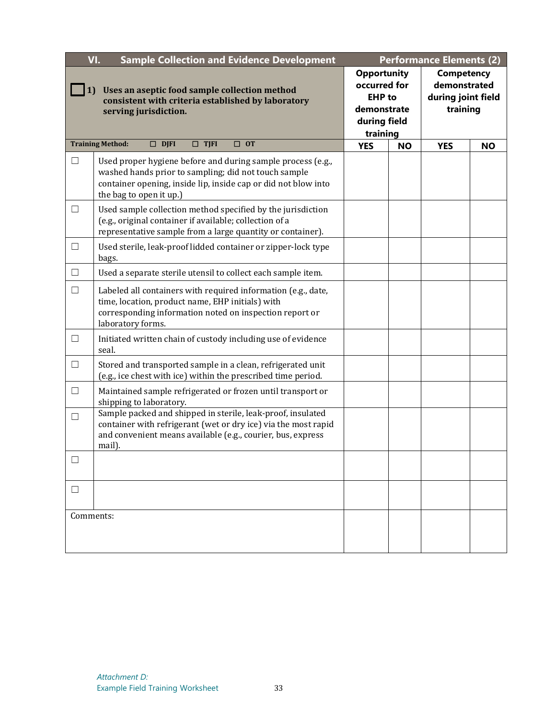|           | VI.<br><b>Sample Collection and Evidence Development</b>                                                                                                                                                         | <b>Performance Elements (2)</b>                                                                |           |            |           |  |  |  |  |                                                                     |  |
|-----------|------------------------------------------------------------------------------------------------------------------------------------------------------------------------------------------------------------------|------------------------------------------------------------------------------------------------|-----------|------------|-----------|--|--|--|--|---------------------------------------------------------------------|--|
| 1)        | Uses an aseptic food sample collection method<br>consistent with criteria established by laboratory<br>serving jurisdiction.                                                                                     | <b>Opportunity</b><br>occurred for<br><b>EHP</b> to<br>demonstrate<br>during field<br>training |           |            |           |  |  |  |  | <b>Competency</b><br>demonstrated<br>during joint field<br>training |  |
|           | <b>Training Method:</b><br>$\Box$ DJFI<br>$\Box$ TJFI<br>$\Box$ OT                                                                                                                                               | <b>YES</b>                                                                                     | <b>NO</b> | <b>YES</b> | <b>NO</b> |  |  |  |  |                                                                     |  |
| □         | Used proper hygiene before and during sample process (e.g.,<br>washed hands prior to sampling; did not touch sample<br>container opening, inside lip, inside cap or did not blow into<br>the bag to open it up.) |                                                                                                |           |            |           |  |  |  |  |                                                                     |  |
| Ш         | Used sample collection method specified by the jurisdiction<br>(e.g., original container if available; collection of a<br>representative sample from a large quantity or container).                             |                                                                                                |           |            |           |  |  |  |  |                                                                     |  |
| $\Box$    | Used sterile, leak-proof lidded container or zipper-lock type<br>bags.                                                                                                                                           |                                                                                                |           |            |           |  |  |  |  |                                                                     |  |
| $\Box$    | Used a separate sterile utensil to collect each sample item.                                                                                                                                                     |                                                                                                |           |            |           |  |  |  |  |                                                                     |  |
| $\Box$    | Labeled all containers with required information (e.g., date,<br>time, location, product name, EHP initials) with<br>corresponding information noted on inspection report or<br>laboratory forms.                |                                                                                                |           |            |           |  |  |  |  |                                                                     |  |
| □         | Initiated written chain of custody including use of evidence<br>seal.                                                                                                                                            |                                                                                                |           |            |           |  |  |  |  |                                                                     |  |
| $\Box$    | Stored and transported sample in a clean, refrigerated unit<br>(e.g., ice chest with ice) within the prescribed time period.                                                                                     |                                                                                                |           |            |           |  |  |  |  |                                                                     |  |
| $\Box$    | Maintained sample refrigerated or frozen until transport or<br>shipping to laboratory.                                                                                                                           |                                                                                                |           |            |           |  |  |  |  |                                                                     |  |
| □         | Sample packed and shipped in sterile, leak-proof, insulated<br>container with refrigerant (wet or dry ice) via the most rapid<br>and convenient means available (e.g., courier, bus, express<br>mail).           |                                                                                                |           |            |           |  |  |  |  |                                                                     |  |
|           |                                                                                                                                                                                                                  |                                                                                                |           |            |           |  |  |  |  |                                                                     |  |
|           |                                                                                                                                                                                                                  |                                                                                                |           |            |           |  |  |  |  |                                                                     |  |
| Comments: |                                                                                                                                                                                                                  |                                                                                                |           |            |           |  |  |  |  |                                                                     |  |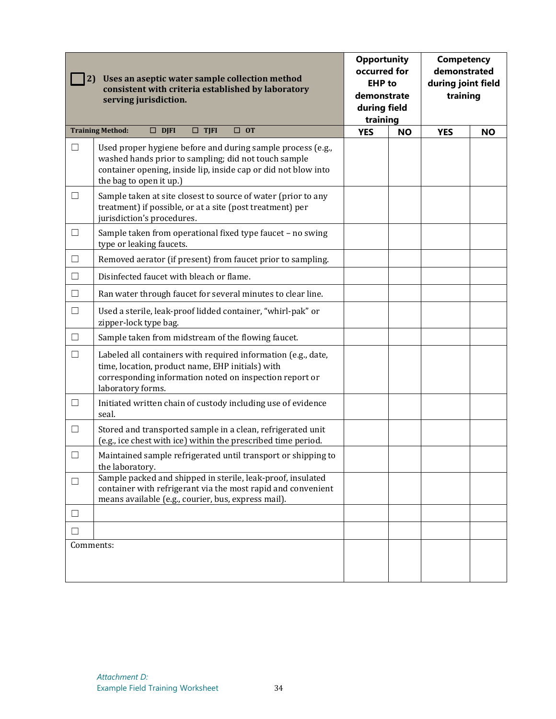| Uses an aseptic water sample collection method<br>2)<br>consistent with criteria established by laboratory<br>serving jurisdiction. |                                                                                                                                                                                                                  | <b>Opportunity</b><br>occurred for<br><b>EHP</b> to<br>demonstrate<br>during field<br>training |           | <b>Competency</b><br>demonstrated<br>during joint field<br>training |           |
|-------------------------------------------------------------------------------------------------------------------------------------|------------------------------------------------------------------------------------------------------------------------------------------------------------------------------------------------------------------|------------------------------------------------------------------------------------------------|-----------|---------------------------------------------------------------------|-----------|
|                                                                                                                                     | $\Box$ DJFI<br>$\Box$ TJFI<br>$\Box$ OT<br><b>Training Method:</b>                                                                                                                                               | <b>YES</b>                                                                                     | <b>NO</b> | <b>YES</b>                                                          | <b>NO</b> |
| $\Box$                                                                                                                              | Used proper hygiene before and during sample process (e.g.,<br>washed hands prior to sampling; did not touch sample<br>container opening, inside lip, inside cap or did not blow into<br>the bag to open it up.) |                                                                                                |           |                                                                     |           |
| $\Box$                                                                                                                              | Sample taken at site closest to source of water (prior to any<br>treatment) if possible, or at a site (post treatment) per<br>jurisdiction's procedures.                                                         |                                                                                                |           |                                                                     |           |
| $\Box$                                                                                                                              | Sample taken from operational fixed type faucet - no swing<br>type or leaking faucets.                                                                                                                           |                                                                                                |           |                                                                     |           |
| □                                                                                                                                   | Removed aerator (if present) from faucet prior to sampling.                                                                                                                                                      |                                                                                                |           |                                                                     |           |
| $\Box$                                                                                                                              | Disinfected faucet with bleach or flame.                                                                                                                                                                         |                                                                                                |           |                                                                     |           |
| $\Box$                                                                                                                              | Ran water through faucet for several minutes to clear line.                                                                                                                                                      |                                                                                                |           |                                                                     |           |
| $\Box$                                                                                                                              | Used a sterile, leak-proof lidded container, "whirl-pak" or<br>zipper-lock type bag.                                                                                                                             |                                                                                                |           |                                                                     |           |
| $\Box$                                                                                                                              | Sample taken from midstream of the flowing faucet.                                                                                                                                                               |                                                                                                |           |                                                                     |           |
| $\Box$                                                                                                                              | Labeled all containers with required information (e.g., date,<br>time, location, product name, EHP initials) with<br>corresponding information noted on inspection report or<br>laboratory forms.                |                                                                                                |           |                                                                     |           |
| $\Box$                                                                                                                              | Initiated written chain of custody including use of evidence<br>seal.                                                                                                                                            |                                                                                                |           |                                                                     |           |
| □                                                                                                                                   | Stored and transported sample in a clean, refrigerated unit<br>(e.g., ice chest with ice) within the prescribed time period.                                                                                     |                                                                                                |           |                                                                     |           |
| П                                                                                                                                   | Maintained sample refrigerated until transport or shipping to<br>the laboratory.                                                                                                                                 |                                                                                                |           |                                                                     |           |
| $\Box$                                                                                                                              | Sample packed and shipped in sterile, leak-proof, insulated<br>container with refrigerant via the most rapid and convenient<br>means available (e.g., courier, bus, express mail).                               |                                                                                                |           |                                                                     |           |
| $\Box$                                                                                                                              |                                                                                                                                                                                                                  |                                                                                                |           |                                                                     |           |
| $\mathsf{L}$                                                                                                                        |                                                                                                                                                                                                                  |                                                                                                |           |                                                                     |           |
| Comments:                                                                                                                           |                                                                                                                                                                                                                  |                                                                                                |           |                                                                     |           |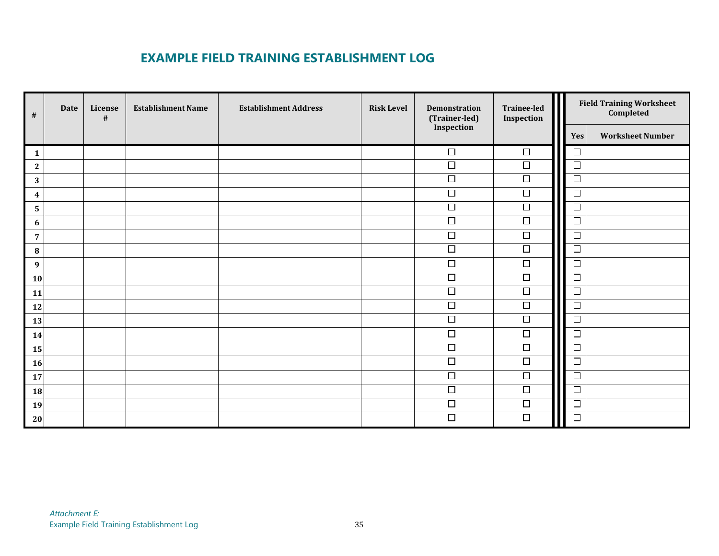## **EXAMPLE FIELD TRAINING ESTABLISHMENT LOG**

| $\#$             | <b>Date</b> | License<br># | <b>Establishment Name</b> | <b>Establishment Address</b> | <b>Risk Level</b> | Demonstration<br>(Trainer-led)<br>Inspection | Trainee-led<br>Inspection | <b>Field Training Worksheet</b><br>Completed |
|------------------|-------------|--------------|---------------------------|------------------------------|-------------------|----------------------------------------------|---------------------------|----------------------------------------------|
|                  |             |              |                           |                              |                   |                                              |                           | <b>Worksheet Number</b><br>Yes               |
| $\mathbf{1}$     |             |              |                           |                              |                   | $\Box$                                       | $\Box$                    | $\Box$                                       |
| $\mathbf{2}$     |             |              |                           |                              |                   | $\Box$                                       | $\Box$                    | $\Box$                                       |
| $\bf 3$          |             |              |                           |                              |                   | $\Box$                                       | $\Box$                    | $\Box$                                       |
| $\boldsymbol{4}$ |             |              |                           |                              |                   | $\Box$                                       | $\Box$                    | $\Box$                                       |
| ${\bf 5}$        |             |              |                           |                              |                   | $\overline{\Box}$                            | $\Box$                    | $\Box$                                       |
| $\boldsymbol{6}$ |             |              |                           |                              |                   | $\Box$                                       | $\Box$                    | $\Box$                                       |
| $\overline{7}$   |             |              |                           |                              |                   | $\Box$                                       | $\overline{\Box}$         | $\Box$                                       |
| ${\bf 8}$        |             |              |                           |                              |                   | $\overline{\Box}$                            | $\overline{\Box}$         | $\Box$                                       |
| $\boldsymbol{9}$ |             |              |                           |                              |                   | $\Box$                                       | $\Box$                    | $\Box$                                       |
| 10               |             |              |                           |                              |                   | $\overline{\Box}$                            | $\Box$                    | $\Box$                                       |
| 11               |             |              |                           |                              |                   | $\overline{\Box}$                            | $\overline{\Box}$         | $\Box$                                       |
| 12               |             |              |                           |                              |                   | $\overline{\square}$                         | $\Box$                    | $\Box$                                       |
| 13               |             |              |                           |                              |                   | $\Box$                                       | $\overline{\square}$      | $\Box$                                       |
| 14               |             |              |                           |                              |                   | $\Box$                                       | $\Box$                    | $\Box$                                       |
| 15               |             |              |                           |                              |                   | $\Box$                                       | $\Box$                    | $\Box$                                       |
| 16               |             |              |                           |                              |                   | $\Box$                                       | $\Box$                    | $\Box$                                       |
| 17               |             |              |                           |                              |                   | $\overline{\square}$                         | $\overline{\Box}$         | $\Box$                                       |
| 18               |             |              |                           |                              |                   | $\Box$                                       | $\overline{\Box}$         | $\Box$                                       |
| 19               |             |              |                           |                              |                   | $\Box$                                       | $\Box$                    | $\Box$                                       |
| 20               |             |              |                           |                              |                   | $\Box$                                       | $\Box$                    | $\Box$                                       |